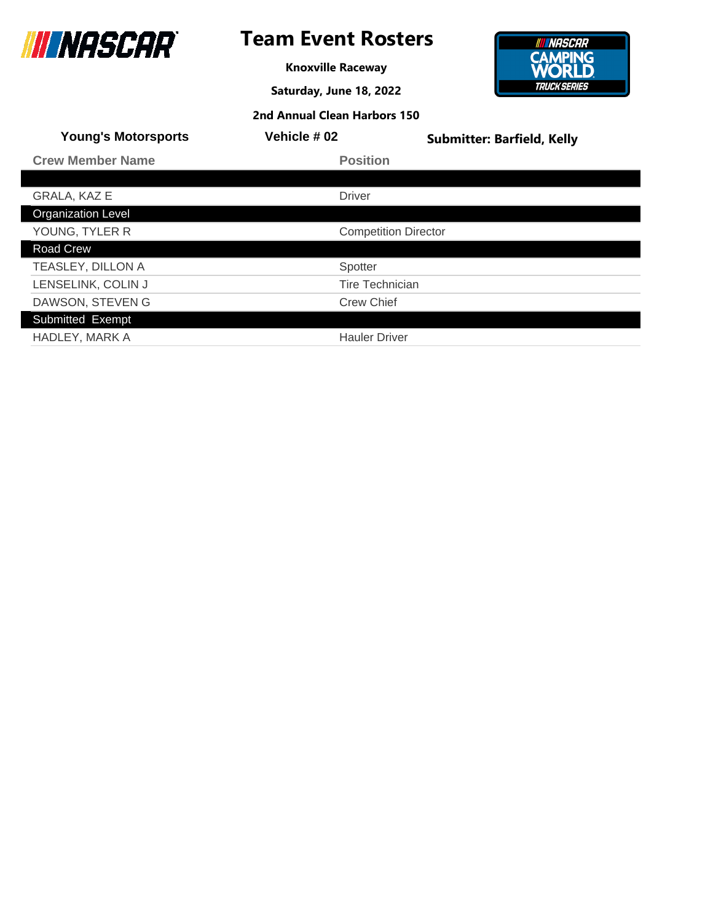

## **Team Event Rosters**

**Knoxville Raceway**

**Saturday, June 18, 2022**



| <b>Young's Motorsports</b> | Vehicle # 02                | <b>Submitter: Barfield, Kelly</b> |
|----------------------------|-----------------------------|-----------------------------------|
| <b>Crew Member Name</b>    | <b>Position</b>             |                                   |
|                            |                             |                                   |
| <b>GRALA, KAZ E</b>        | <b>Driver</b>               |                                   |
| <b>Organization Level</b>  |                             |                                   |
| YOUNG, TYLER R             | <b>Competition Director</b> |                                   |
| <b>Road Crew</b>           |                             |                                   |
| TEASLEY, DILLON A          | Spotter                     |                                   |
| LENSELINK, COLIN J         | <b>Tire Technician</b>      |                                   |
| DAWSON, STEVEN G           | <b>Crew Chief</b>           |                                   |
| Submitted Exempt           |                             |                                   |
| <b>HADLEY, MARK A</b>      | <b>Hauler Driver</b>        |                                   |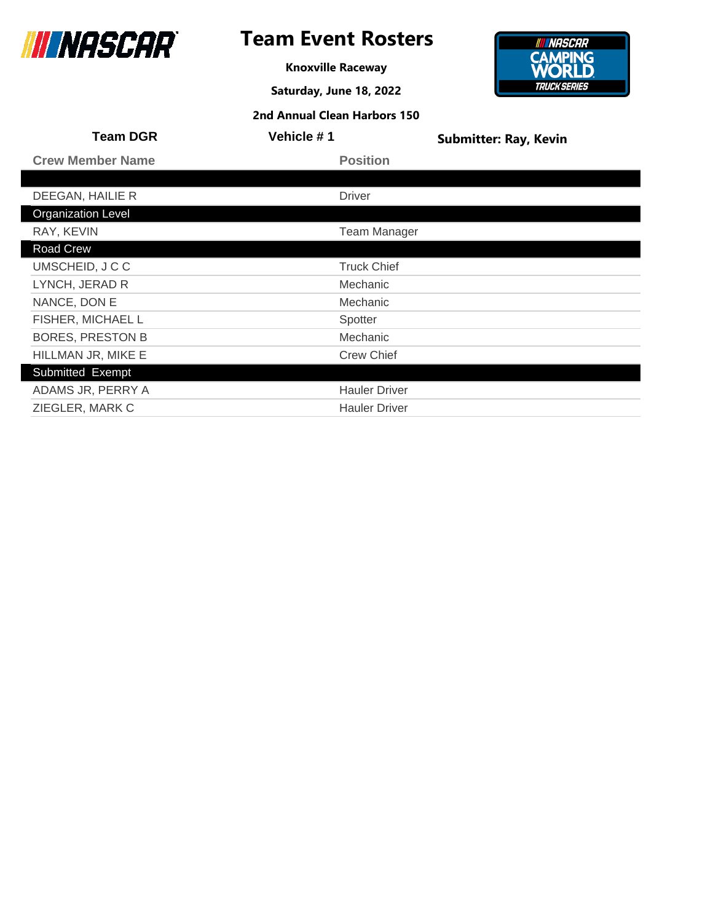

## **Team Event Rosters**

**Knoxville Raceway**

**Saturday, June 18, 2022**



| <b>Team DGR</b>           | Vehicle # 1          | <b>Submitter: Ray, Kevin</b> |
|---------------------------|----------------------|------------------------------|
| <b>Crew Member Name</b>   | <b>Position</b>      |                              |
|                           |                      |                              |
| DEEGAN, HAILIE R          | <b>Driver</b>        |                              |
| <b>Organization Level</b> |                      |                              |
| RAY, KEVIN                | <b>Team Manager</b>  |                              |
| Road Crew                 |                      |                              |
| UMSCHEID, J C C           | <b>Truck Chief</b>   |                              |
| LYNCH, JERAD R            | Mechanic             |                              |
| NANCE, DON E              | Mechanic             |                              |
| FISHER, MICHAEL L         | Spotter              |                              |
| <b>BORES, PRESTON B</b>   | Mechanic             |                              |
| HILLMAN JR, MIKE E        | <b>Crew Chief</b>    |                              |
| Submitted Exempt          |                      |                              |
| ADAMS JR, PERRY A         | <b>Hauler Driver</b> |                              |
| ZIEGLER, MARK C           | <b>Hauler Driver</b> |                              |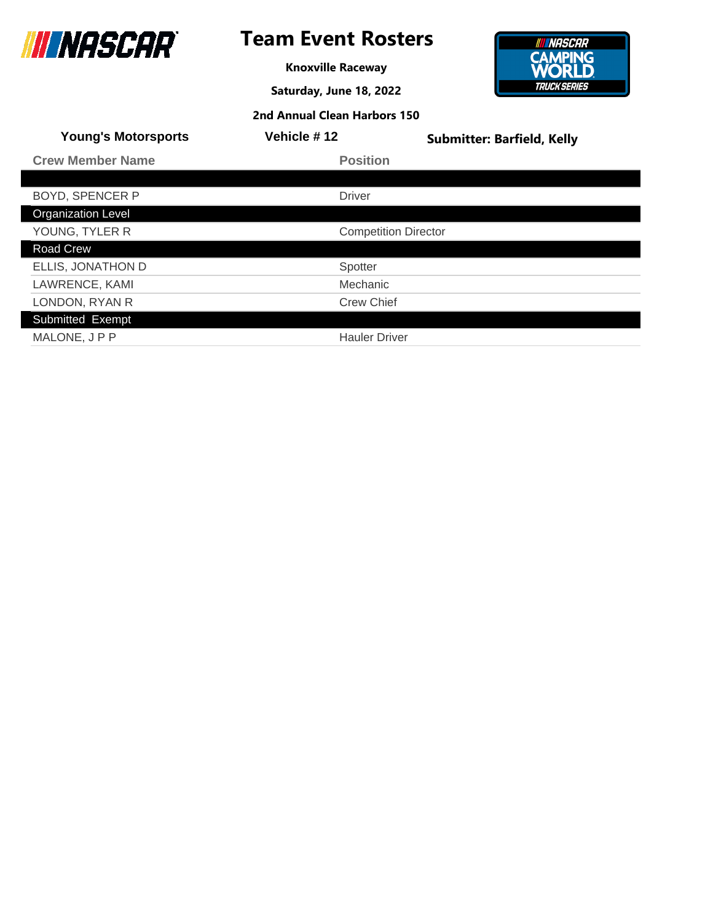

## **Team Event Rosters**

**Knoxville Raceway**

**Saturday, June 18, 2022**



| <b>Young's Motorsports</b> | Vehicle #12                 | <b>Submitter: Barfield, Kelly</b> |
|----------------------------|-----------------------------|-----------------------------------|
| <b>Crew Member Name</b>    | <b>Position</b>             |                                   |
|                            |                             |                                   |
| <b>BOYD, SPENCER P</b>     | <b>Driver</b>               |                                   |
| <b>Organization Level</b>  |                             |                                   |
| YOUNG, TYLER R             | <b>Competition Director</b> |                                   |
| Road Crew                  |                             |                                   |
| ELLIS, JONATHON D          | Spotter                     |                                   |
| LAWRENCE, KAMI             | Mechanic                    |                                   |
| LONDON, RYAN R             | <b>Crew Chief</b>           |                                   |
| Submitted Exempt           |                             |                                   |
| MALONE, JPP                | <b>Hauler Driver</b>        |                                   |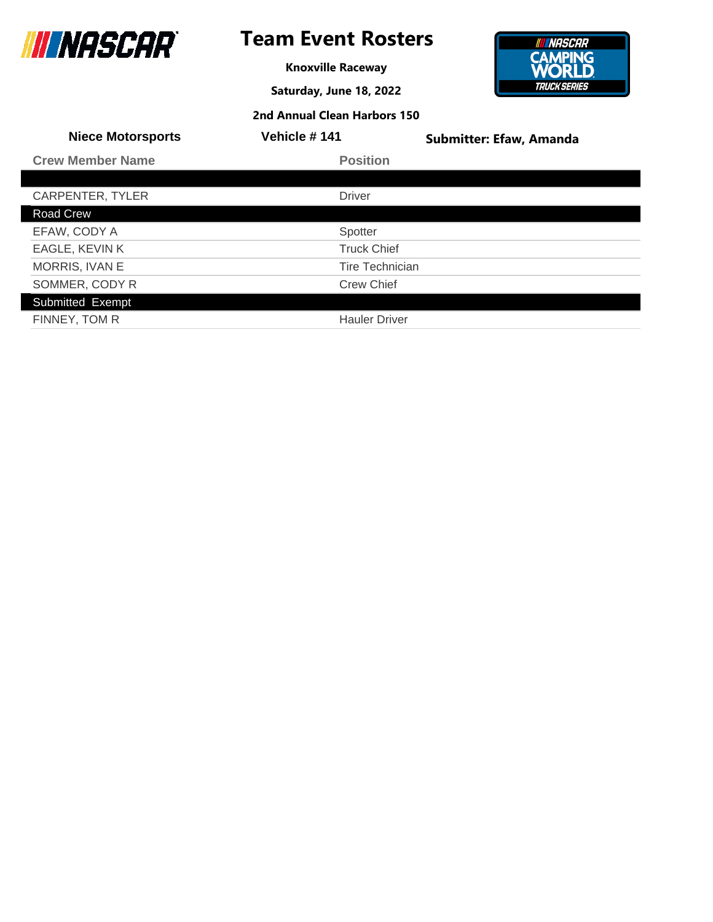

**Knoxville Raceway**

**Saturday, June 18, 2022**



| 2nd Annual Clean Harbors 150 |  |
|------------------------------|--|
|------------------------------|--|

| <b>Niece Motorsports</b> | Vehicle #141           | <b>Submitter: Efaw, Amanda</b> |
|--------------------------|------------------------|--------------------------------|
| <b>Crew Member Name</b>  | <b>Position</b>        |                                |
|                          |                        |                                |
| CARPENTER, TYLER         | <b>Driver</b>          |                                |
| Road Crew                |                        |                                |
| EFAW, CODY A             | Spotter                |                                |
| EAGLE, KEVIN K           | <b>Truck Chief</b>     |                                |
| MORRIS, IVAN E           | <b>Tire Technician</b> |                                |
| SOMMER, CODY R           | <b>Crew Chief</b>      |                                |
| Submitted Exempt         |                        |                                |
| FINNEY, TOM R            | <b>Hauler Driver</b>   |                                |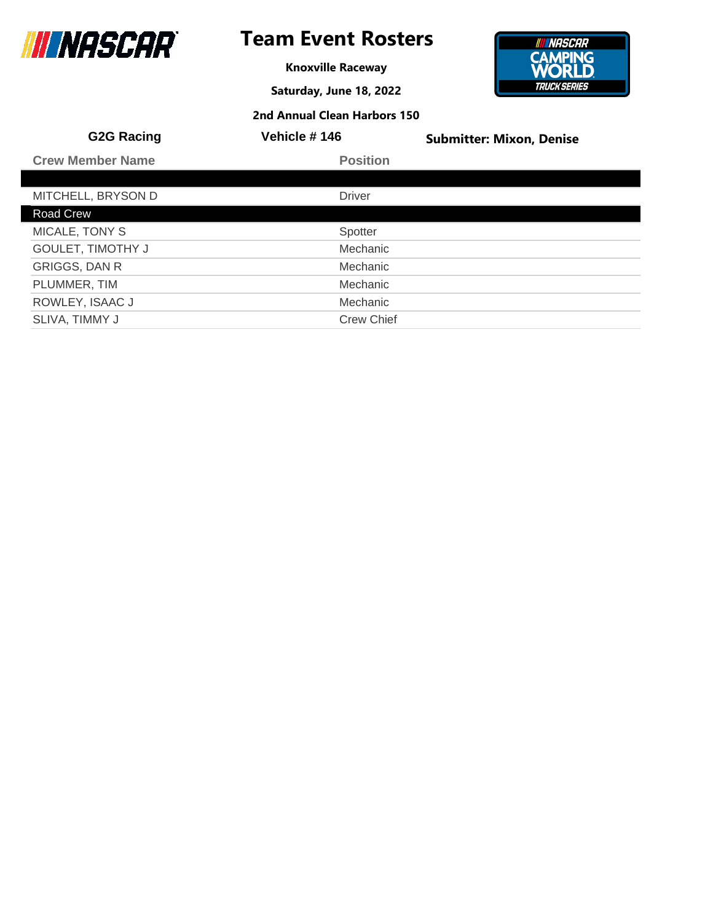

**Knoxville Raceway**

**Saturday, June 18, 2022**



| <b>G2G Racing</b>        | Vehicle #146      | <b>Submitter: Mixon, Denise</b> |
|--------------------------|-------------------|---------------------------------|
| <b>Crew Member Name</b>  | <b>Position</b>   |                                 |
|                          |                   |                                 |
| MITCHELL, BRYSON D       | <b>Driver</b>     |                                 |
| Road Crew                |                   |                                 |
| MICALE, TONY S           | Spotter           |                                 |
| <b>GOULET, TIMOTHY J</b> | Mechanic          |                                 |
| <b>GRIGGS, DAN R</b>     | Mechanic          |                                 |
| PLUMMER, TIM             | Mechanic          |                                 |
| ROWLEY, ISAAC J          | Mechanic          |                                 |
| SLIVA, TIMMY J           | <b>Crew Chief</b> |                                 |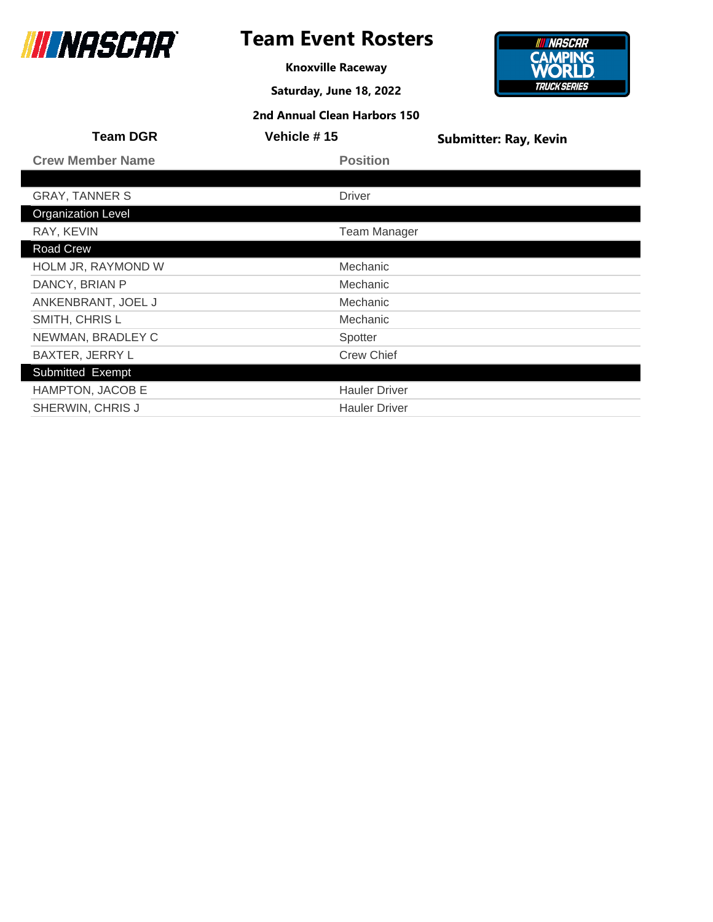

## **Team Event Rosters**

**Knoxville Raceway**

**Saturday, June 18, 2022**



| <b>Team DGR</b>           | Vehicle #15          | <b>Submitter: Ray, Kevin</b> |
|---------------------------|----------------------|------------------------------|
| <b>Crew Member Name</b>   | <b>Position</b>      |                              |
|                           |                      |                              |
| <b>GRAY, TANNER S</b>     | <b>Driver</b>        |                              |
| <b>Organization Level</b> |                      |                              |
| RAY, KEVIN                | <b>Team Manager</b>  |                              |
| Road Crew                 |                      |                              |
| HOLM JR, RAYMOND W        | Mechanic             |                              |
| DANCY, BRIAN P            | Mechanic             |                              |
| ANKENBRANT, JOEL J        | Mechanic             |                              |
| SMITH, CHRIS L            | Mechanic             |                              |
| NEWMAN, BRADLEY C         | Spotter              |                              |
| <b>BAXTER, JERRY L</b>    | <b>Crew Chief</b>    |                              |
| Submitted Exempt          |                      |                              |
| HAMPTON, JACOB E          | <b>Hauler Driver</b> |                              |
| SHERWIN, CHRIS J          | <b>Hauler Driver</b> |                              |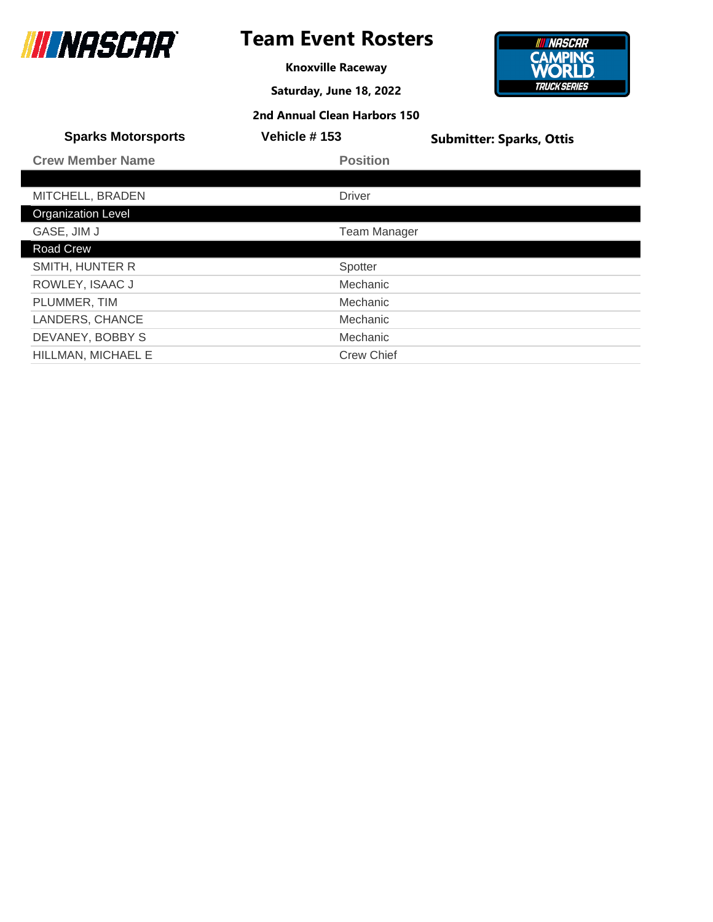

**Knoxville Raceway**

**Saturday, June 18, 2022**

**2nd Annual Clean Harbors 150**



| <b>Sparks Motorsports</b> | Vehicle #153        | <b>Submitter: Sparks, Ottis</b> |
|---------------------------|---------------------|---------------------------------|
| <b>Crew Member Name</b>   | <b>Position</b>     |                                 |
|                           |                     |                                 |
| MITCHELL, BRADEN          | <b>Driver</b>       |                                 |
| Organization Level        |                     |                                 |
| GASE, JIM J               | <b>Team Manager</b> |                                 |
| <b>Road Crew</b>          |                     |                                 |
| SMITH, HUNTER R           | Spotter             |                                 |
| ROWLEY, ISAAC J           | Mechanic            |                                 |
| PLUMMER, TIM              | Mechanic            |                                 |
| LANDERS, CHANCE           | Mechanic            |                                 |
| DEVANEY, BOBBY S          | Mechanic            |                                 |

HILLMAN, MICHAEL E Crew Chief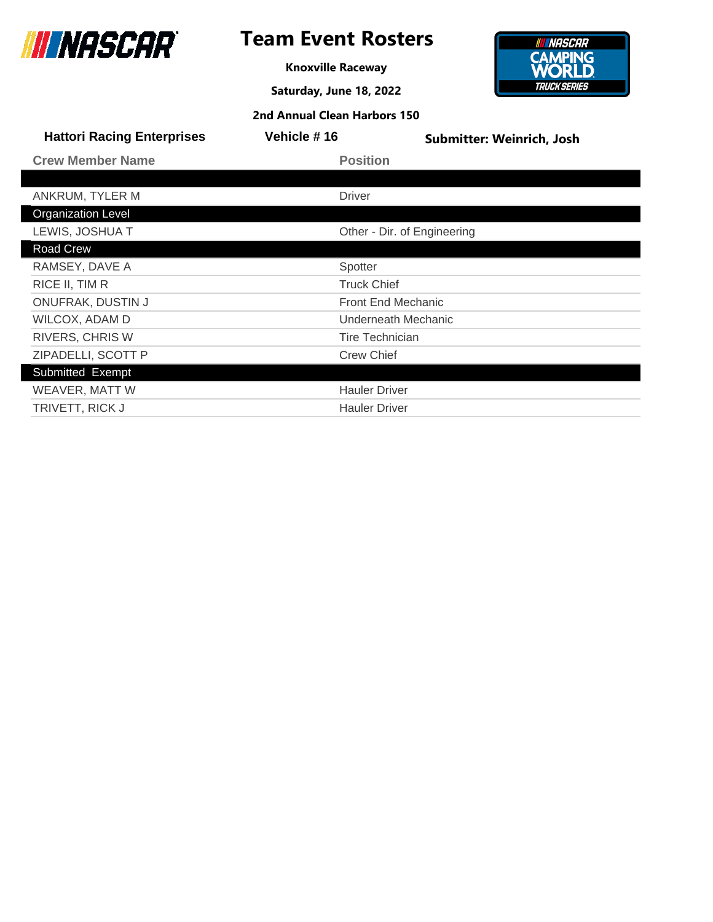

**Knoxville Raceway**

**Saturday, June 18, 2022**



| <b>Hattori Racing Enterprises</b> | Vehicle #16          | <b>Submitter: Weinrich, Josh</b> |
|-----------------------------------|----------------------|----------------------------------|
| <b>Crew Member Name</b>           | <b>Position</b>      |                                  |
|                                   |                      |                                  |
| ANKRUM, TYLER M                   | <b>Driver</b>        |                                  |
| <b>Organization Level</b>         |                      |                                  |
| LEWIS, JOSHUA T                   |                      | Other - Dir. of Engineering      |
| Road Crew                         |                      |                                  |
| RAMSEY, DAVE A                    | Spotter              |                                  |
| RICE II, TIM R                    | <b>Truck Chief</b>   |                                  |
| <b>ONUFRAK, DUSTIN J</b>          |                      | <b>Front End Mechanic</b>        |
| WILCOX, ADAM D                    |                      | Underneath Mechanic              |
| <b>RIVERS, CHRIS W</b>            |                      | <b>Tire Technician</b>           |
| ZIPADELLI, SCOTT P                | <b>Crew Chief</b>    |                                  |
| Submitted Exempt                  |                      |                                  |
| WEAVER, MATT W                    | <b>Hauler Driver</b> |                                  |
| TRIVETT, RICK J                   | <b>Hauler Driver</b> |                                  |
|                                   |                      |                                  |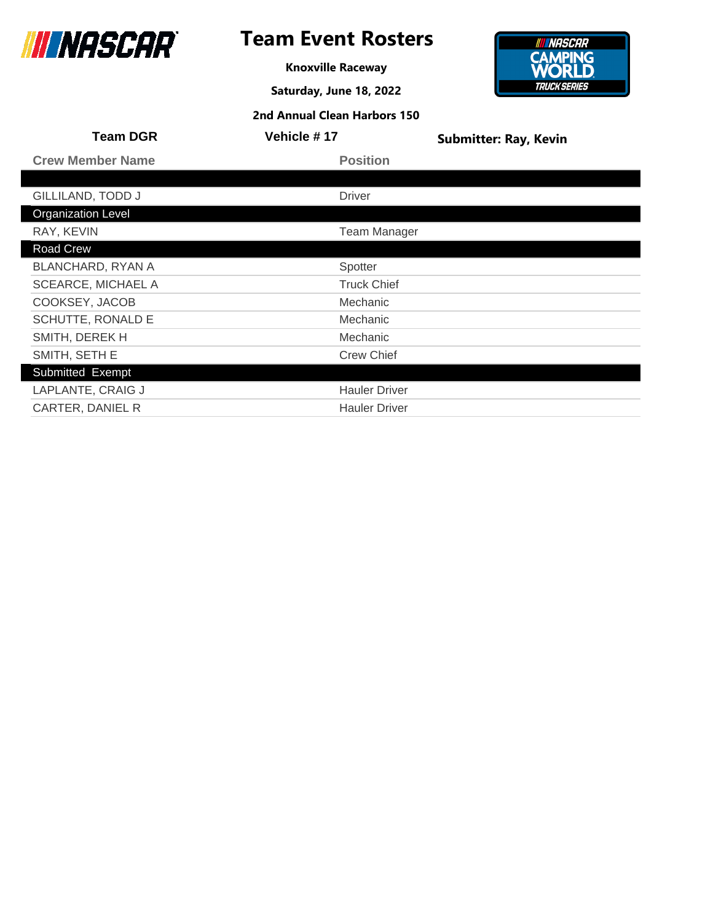

## **Team Event Rosters**

**Knoxville Raceway**

**Saturday, June 18, 2022**



| <b>Team DGR</b>           | Vehicle #17          | <b>Submitter: Ray, Kevin</b> |
|---------------------------|----------------------|------------------------------|
| <b>Crew Member Name</b>   | <b>Position</b>      |                              |
|                           |                      |                              |
| GILLILAND, TODD J         | <b>Driver</b>        |                              |
| <b>Organization Level</b> |                      |                              |
| RAY, KEVIN                | <b>Team Manager</b>  |                              |
| Road Crew                 |                      |                              |
| <b>BLANCHARD, RYAN A</b>  | Spotter              |                              |
| <b>SCEARCE, MICHAEL A</b> | <b>Truck Chief</b>   |                              |
| COOKSEY, JACOB            | Mechanic             |                              |
| SCHUTTE, RONALD E         | Mechanic             |                              |
| SMITH, DEREK H            | Mechanic             |                              |
| SMITH, SETH E             | <b>Crew Chief</b>    |                              |
| Submitted Exempt          |                      |                              |
| LAPLANTE, CRAIG J         | <b>Hauler Driver</b> |                              |
| CARTER, DANIEL R          | <b>Hauler Driver</b> |                              |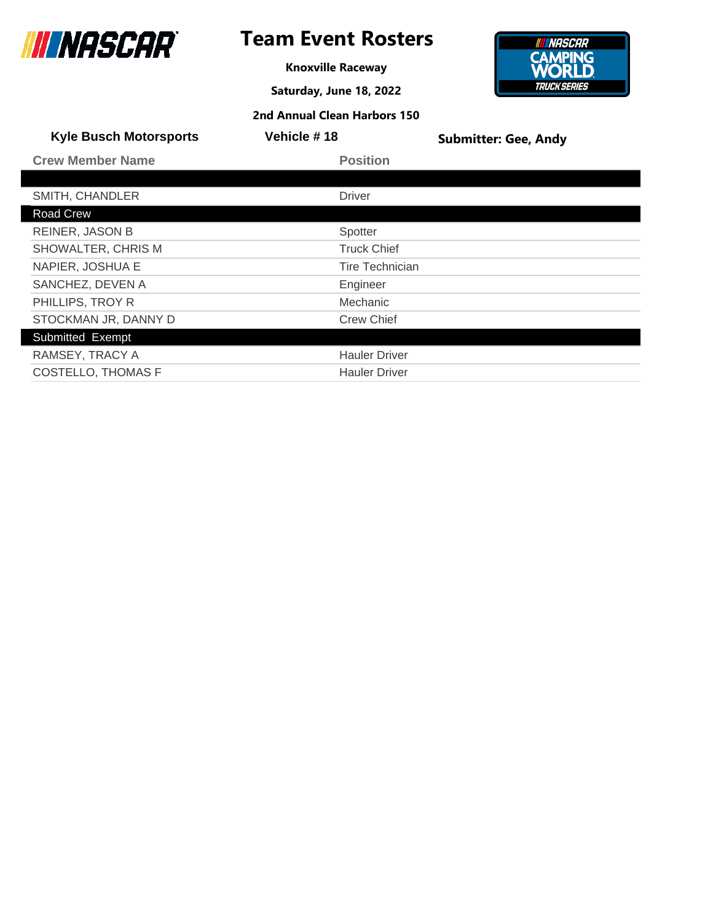

**Knoxville Raceway**

**Saturday, June 18, 2022**



| <b>Kyle Busch Motorsports</b> | <b>Vehicle #18</b>   | <b>Submitter: Gee, Andy</b> |
|-------------------------------|----------------------|-----------------------------|
| <b>Crew Member Name</b>       | <b>Position</b>      |                             |
|                               |                      |                             |
| SMITH, CHANDLER               | <b>Driver</b>        |                             |
| Road Crew                     |                      |                             |
| <b>REINER, JASON B</b>        | Spotter              |                             |
| SHOWALTER, CHRIS M            | <b>Truck Chief</b>   |                             |
| NAPIER, JOSHUA E              | Tire Technician      |                             |
| SANCHEZ, DEVEN A              | Engineer             |                             |
| PHILLIPS, TROY R              | Mechanic             |                             |
| STOCKMAN JR, DANNY D          | <b>Crew Chief</b>    |                             |
| Submitted Exempt              |                      |                             |
| RAMSEY, TRACY A               | <b>Hauler Driver</b> |                             |
| <b>COSTELLO, THOMAS F</b>     | <b>Hauler Driver</b> |                             |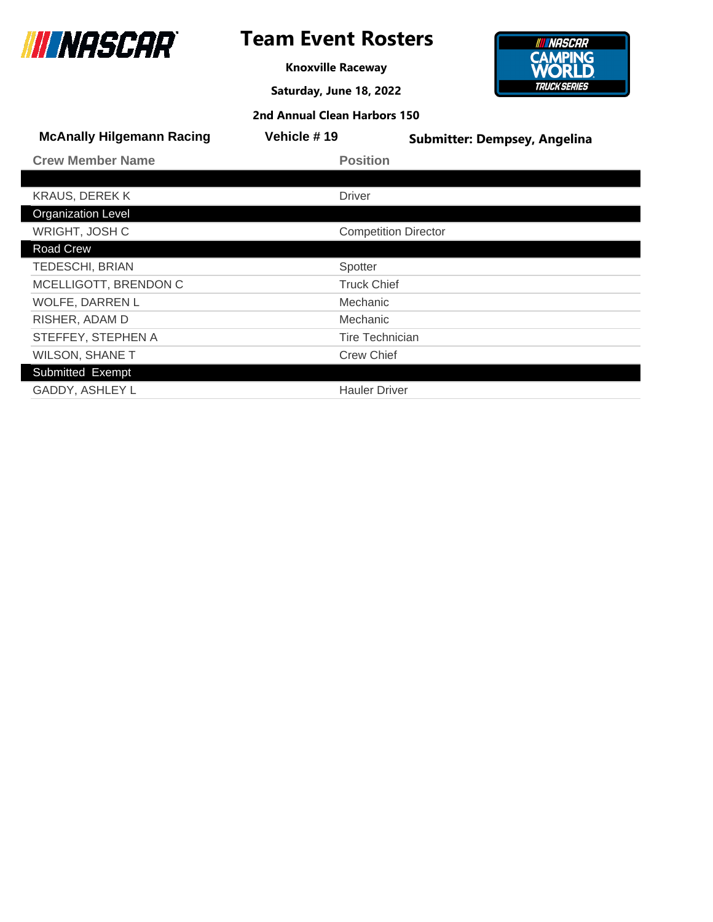

**Knoxville Raceway**

**Saturday, June 18, 2022**



| 2nd Annual Clean Harbors 150 |  |  |
|------------------------------|--|--|
|------------------------------|--|--|

| <b>McAnally Hilgemann Racing</b> | Vehicle #19                 | <b>Submitter: Dempsey, Angelina</b> |
|----------------------------------|-----------------------------|-------------------------------------|
| <b>Crew Member Name</b>          | <b>Position</b>             |                                     |
|                                  |                             |                                     |
| <b>KRAUS, DEREKK</b>             | <b>Driver</b>               |                                     |
| <b>Organization Level</b>        |                             |                                     |
| WRIGHT, JOSH C                   | <b>Competition Director</b> |                                     |
| Road Crew                        |                             |                                     |
| <b>TEDESCHI, BRIAN</b>           | Spotter                     |                                     |
| MCELLIGOTT, BRENDON C            | <b>Truck Chief</b>          |                                     |
| WOLFE, DARREN L                  | Mechanic                    |                                     |
| RISHER, ADAM D                   | Mechanic                    |                                     |
| STEFFEY, STEPHEN A               | Tire Technician             |                                     |
| <b>WILSON, SHANE T</b>           | <b>Crew Chief</b>           |                                     |
| Submitted Exempt                 |                             |                                     |
| GADDY, ASHLEY L                  | <b>Hauler Driver</b>        |                                     |
|                                  |                             |                                     |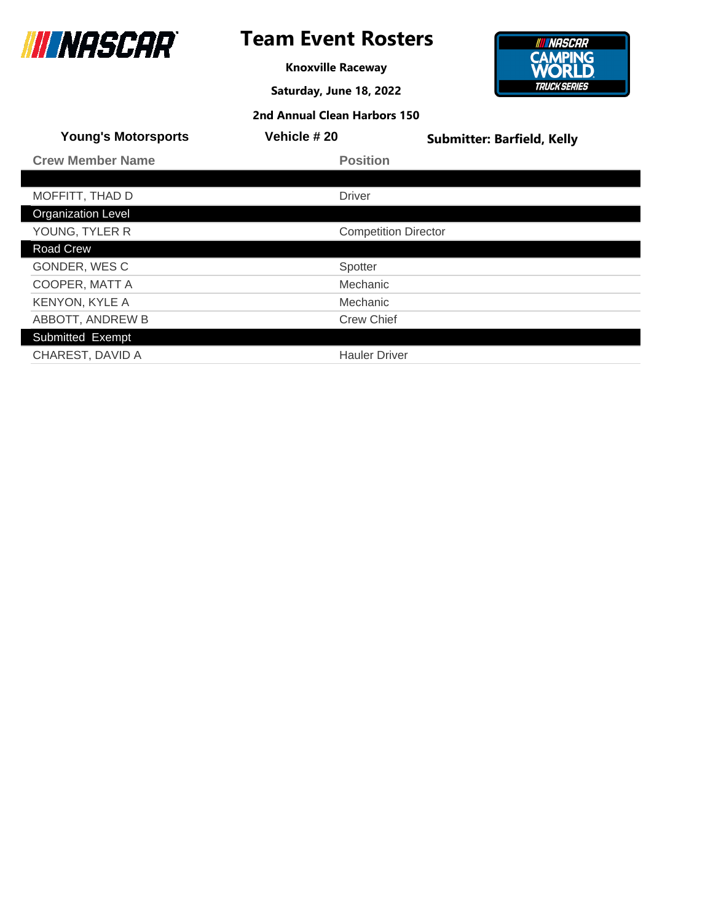

## **Team Event Rosters**

**Knoxville Raceway**

**Saturday, June 18, 2022**



| <b>Young's Motorsports</b> | Vehicle #20                 | <b>Submitter: Barfield, Kelly</b> |
|----------------------------|-----------------------------|-----------------------------------|
| <b>Crew Member Name</b>    | <b>Position</b>             |                                   |
|                            |                             |                                   |
| MOFFITT, THAD D            | <b>Driver</b>               |                                   |
| <b>Organization Level</b>  |                             |                                   |
| YOUNG, TYLER R             | <b>Competition Director</b> |                                   |
| Road Crew                  |                             |                                   |
| GONDER, WESC               | Spotter                     |                                   |
| COOPER, MATT A             | Mechanic                    |                                   |
| <b>KENYON, KYLE A</b>      | Mechanic                    |                                   |
| ABBOTT, ANDREW B           | <b>Crew Chief</b>           |                                   |
| Submitted Exempt           |                             |                                   |
| CHAREST, DAVID A           | <b>Hauler Driver</b>        |                                   |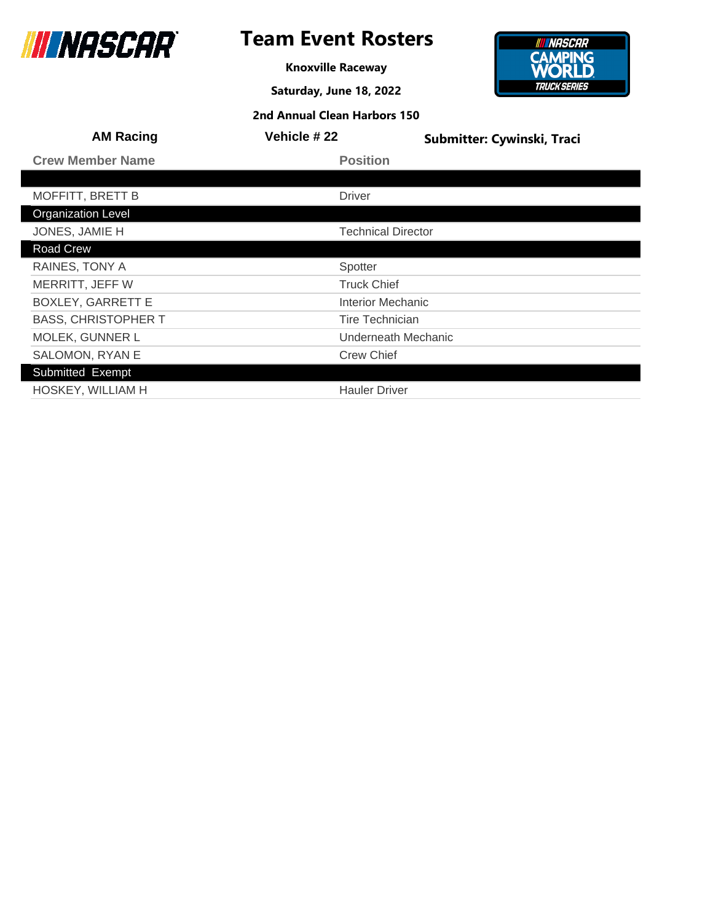

**Knoxville Raceway**

**Saturday, June 18, 2022**



| 2nd Annual Clean Harbors 150 |  |  |  |
|------------------------------|--|--|--|
|------------------------------|--|--|--|

| <b>AM Racing</b>           | Vehicle #22            | Submitter: Cywinski, Traci |
|----------------------------|------------------------|----------------------------|
| <b>Crew Member Name</b>    | <b>Position</b>        |                            |
|                            |                        |                            |
| <b>MOFFITT, BRETT B</b>    | <b>Driver</b>          |                            |
| <b>Organization Level</b>  |                        |                            |
| JONES, JAMIE H             |                        | <b>Technical Director</b>  |
| Road Crew                  |                        |                            |
| RAINES, TONY A             | Spotter                |                            |
| MERRITT, JEFF W            | <b>Truck Chief</b>     |                            |
| <b>BOXLEY, GARRETT E</b>   | Interior Mechanic      |                            |
| <b>BASS, CHRISTOPHER T</b> | <b>Tire Technician</b> |                            |
| MOLEK, GUNNER L            |                        | Underneath Mechanic        |
| <b>SALOMON, RYAN E</b>     | <b>Crew Chief</b>      |                            |
| Submitted Exempt           |                        |                            |
| HOSKEY, WILLIAM H          | <b>Hauler Driver</b>   |                            |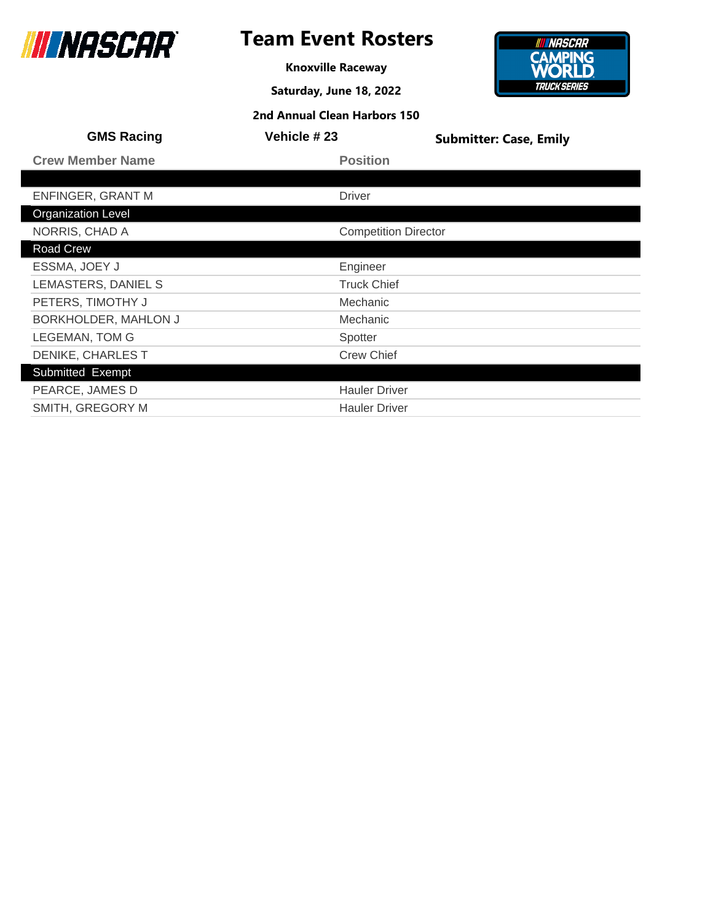

## **Team Event Rosters**

**Knoxville Raceway**

**Saturday, June 18, 2022**



| <b>GMS Racing</b>         | Vehicle # 23                | <b>Submitter: Case, Emily</b> |
|---------------------------|-----------------------------|-------------------------------|
| <b>Crew Member Name</b>   | <b>Position</b>             |                               |
|                           |                             |                               |
| <b>ENFINGER, GRANT M</b>  | <b>Driver</b>               |                               |
| <b>Organization Level</b> |                             |                               |
| NORRIS, CHAD A            | <b>Competition Director</b> |                               |
| Road Crew                 |                             |                               |
| ESSMA, JOEY J             | Engineer                    |                               |
| LEMASTERS, DANIEL S       | <b>Truck Chief</b>          |                               |
| PETERS, TIMOTHY J         | <b>Mechanic</b>             |                               |
| BORKHOLDER, MAHLON J      | <b>Mechanic</b>             |                               |
| <b>LEGEMAN, TOM G</b>     | Spotter                     |                               |
| DENIKE, CHARLES T         | <b>Crew Chief</b>           |                               |
| Submitted Exempt          |                             |                               |
| PEARCE, JAMES D           | <b>Hauler Driver</b>        |                               |
| SMITH, GREGORY M          | <b>Hauler Driver</b>        |                               |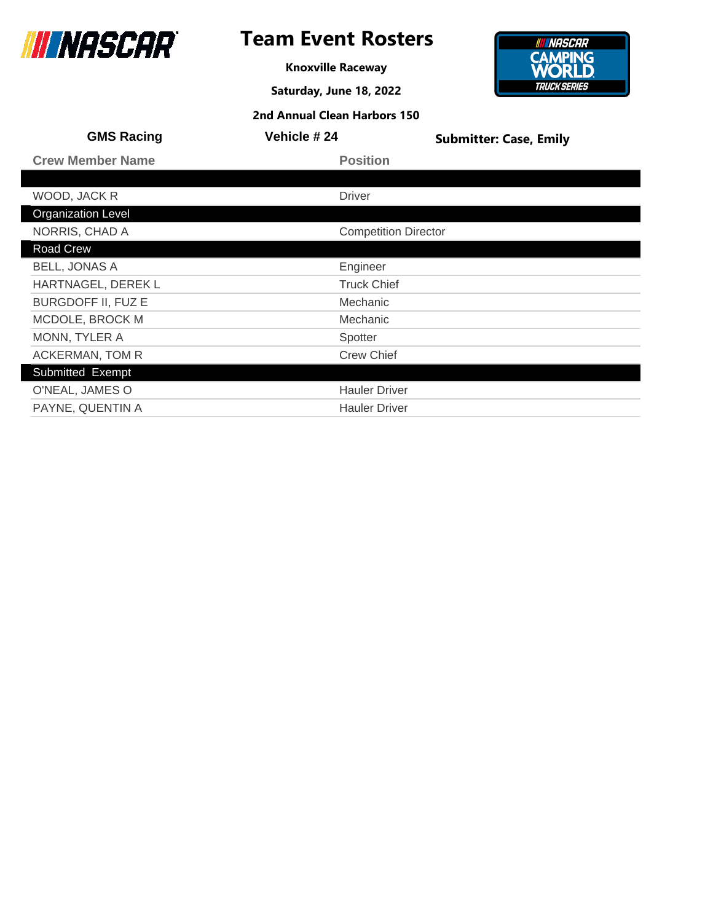

## **Team Event Rosters**

**Knoxville Raceway**

**Saturday, June 18, 2022**



| <b>GMS Racing</b>         | <b>Vehicle #24</b>          | <b>Submitter: Case, Emily</b> |
|---------------------------|-----------------------------|-------------------------------|
| <b>Crew Member Name</b>   | <b>Position</b>             |                               |
|                           |                             |                               |
| WOOD, JACK R              | <b>Driver</b>               |                               |
| <b>Organization Level</b> |                             |                               |
| NORRIS, CHAD A            | <b>Competition Director</b> |                               |
| Road Crew                 |                             |                               |
| <b>BELL, JONAS A</b>      | Engineer                    |                               |
| HARTNAGEL, DEREK L        | <b>Truck Chief</b>          |                               |
| <b>BURGDOFF II, FUZ E</b> | <b>Mechanic</b>             |                               |
| MCDOLE, BROCK M           | Mechanic                    |                               |
| MONN, TYLER A             | Spotter                     |                               |
| ACKERMAN, TOM R           | <b>Crew Chief</b>           |                               |
| Submitted Exempt          |                             |                               |
| O'NEAL, JAMES O           | <b>Hauler Driver</b>        |                               |
| PAYNE, QUENTIN A          | <b>Hauler Driver</b>        |                               |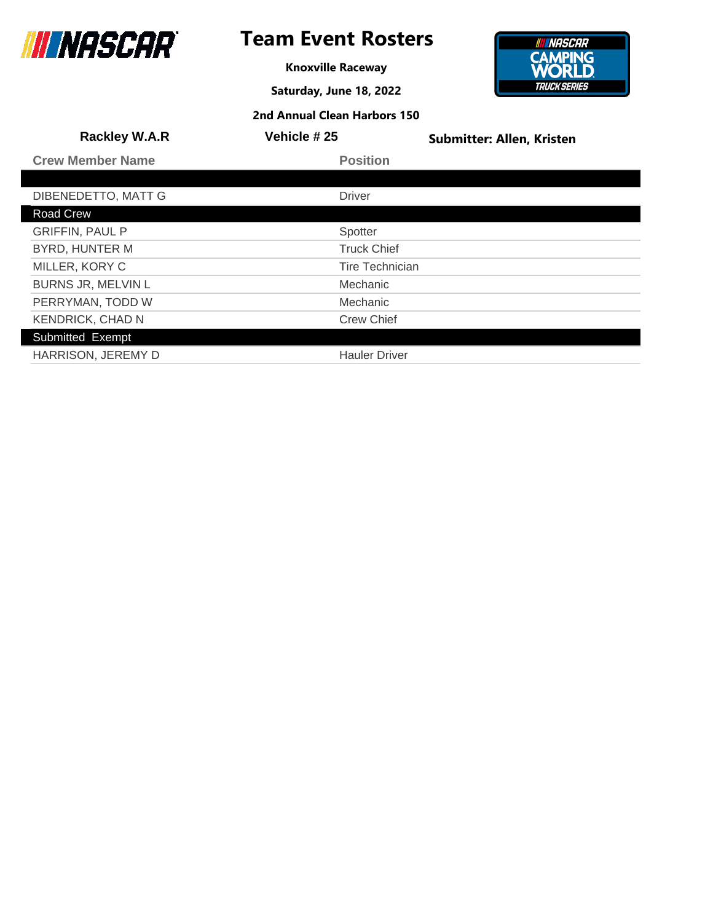

## **Team Event Rosters**

**Knoxville Raceway**

**Saturday, June 18, 2022**

**2nd Annual Clean Harbors 150**

#### **INNASCAR CAMPING**<br>**WORLD TRUCK SERIES**

| <b>Rackley W.A.R</b>      | Vehicle #25            | <b>Submitter: Allen, Kristen</b> |
|---------------------------|------------------------|----------------------------------|
| <b>Crew Member Name</b>   | <b>Position</b>        |                                  |
|                           |                        |                                  |
| DIBENEDETTO, MATT G       | <b>Driver</b>          |                                  |
| <b>Road Crew</b>          |                        |                                  |
| <b>GRIFFIN, PAUL P</b>    | Spotter                |                                  |
| <b>BYRD, HUNTER M</b>     | <b>Truck Chief</b>     |                                  |
| MILLER, KORY C            | <b>Tire Technician</b> |                                  |
| <b>BURNS JR, MELVIN L</b> | Mechanic               |                                  |
| PERRYMAN, TODD W          | Mechanic               |                                  |
| <b>KENDRICK, CHAD N</b>   | <b>Crew Chief</b>      |                                  |
| Submitted Exempt          |                        |                                  |
| HARRISON, JEREMY D        | <b>Hauler Driver</b>   |                                  |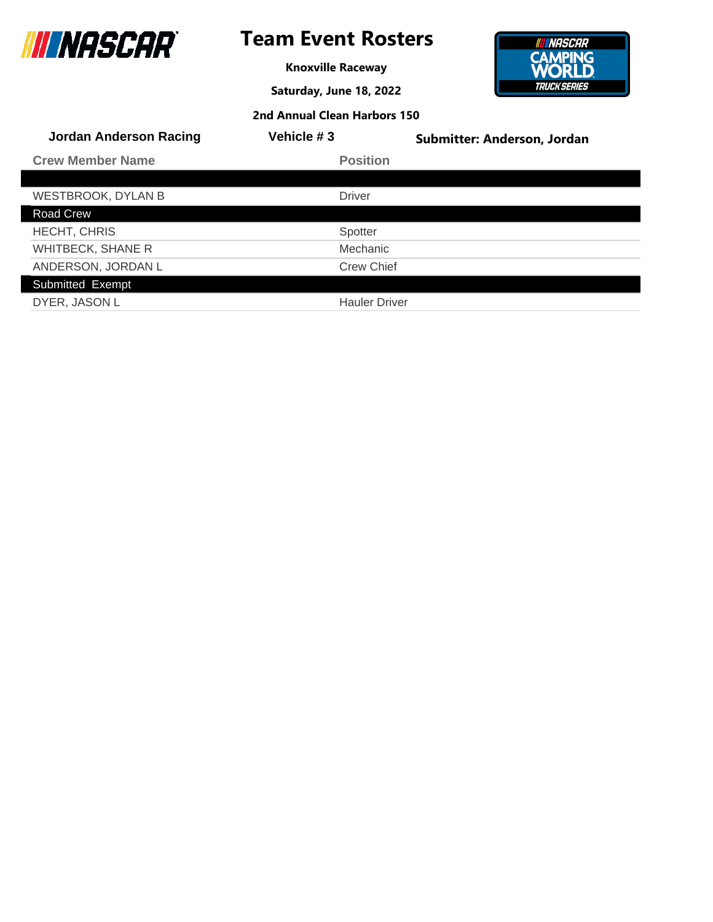

**Knoxville Raceway**

**Saturday, June 18, 2022**

**2nd Annual Clean Harbors 150**



| <b>Jordan Anderson Racing</b> | Vehicle #3           | Submitter: Anderson, Jordan |
|-------------------------------|----------------------|-----------------------------|
| <b>Crew Member Name</b>       | <b>Position</b>      |                             |
|                               |                      |                             |
| <b>WESTBROOK, DYLAN B</b>     | <b>Driver</b>        |                             |
| Road Crew                     |                      |                             |
| <b>HECHT, CHRIS</b>           | Spotter              |                             |
| <b>WHITBECK, SHANE R</b>      | Mechanic             |                             |
| ANDERSON, JORDAN L            | <b>Crew Chief</b>    |                             |
| Submitted Exempt              |                      |                             |
| DYER, JASON L                 | <b>Hauler Driver</b> |                             |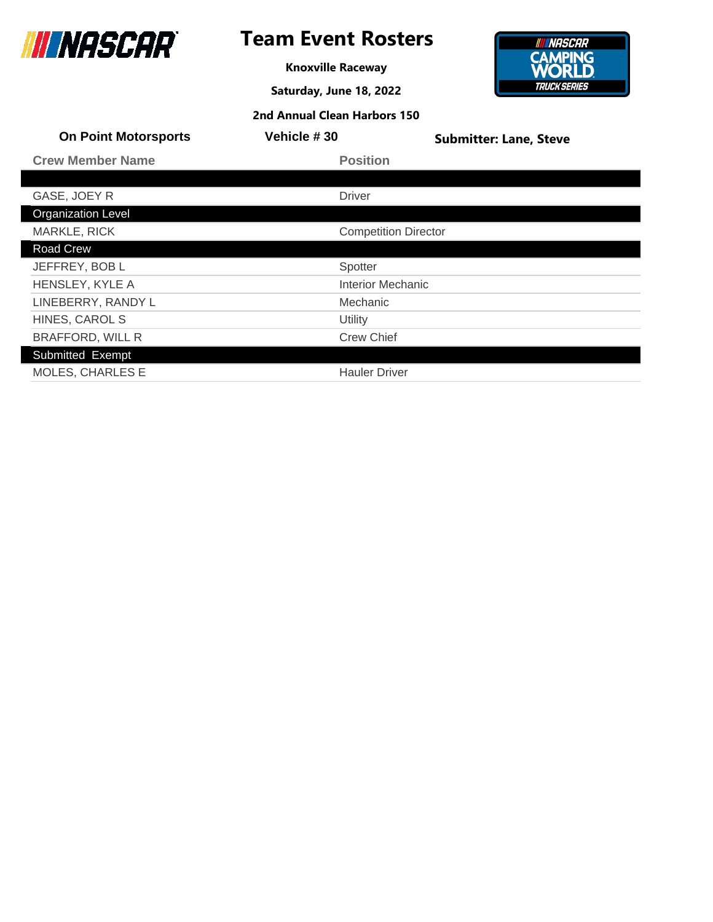

## **Team Event Rosters**

**Knoxville Raceway**

**Saturday, June 18, 2022**

**2nd Annual Clean Harbors 150**



| <b>On Point Motorsports</b> | Vehicle #30                 | <b>Submitter: Lane, Steve</b> |
|-----------------------------|-----------------------------|-------------------------------|
| <b>Crew Member Name</b>     | <b>Position</b>             |                               |
|                             |                             |                               |
| GASE, JOEY R                | <b>Driver</b>               |                               |
| <b>Organization Level</b>   |                             |                               |
| <b>MARKLE, RICK</b>         | <b>Competition Director</b> |                               |
| Road Crew                   |                             |                               |
| JEFFREY, BOB L              | Spotter                     |                               |
| HENSLEY, KYLE A             | <b>Interior Mechanic</b>    |                               |
| LINEBERRY, RANDY L          | Mechanic                    |                               |
| HINES, CAROL S              | Utility                     |                               |
| <b>BRAFFORD, WILL R</b>     | <b>Crew Chief</b>           |                               |
| Submitted Exempt            |                             |                               |
| <b>MOLES, CHARLES E</b>     | <b>Hauler Driver</b>        |                               |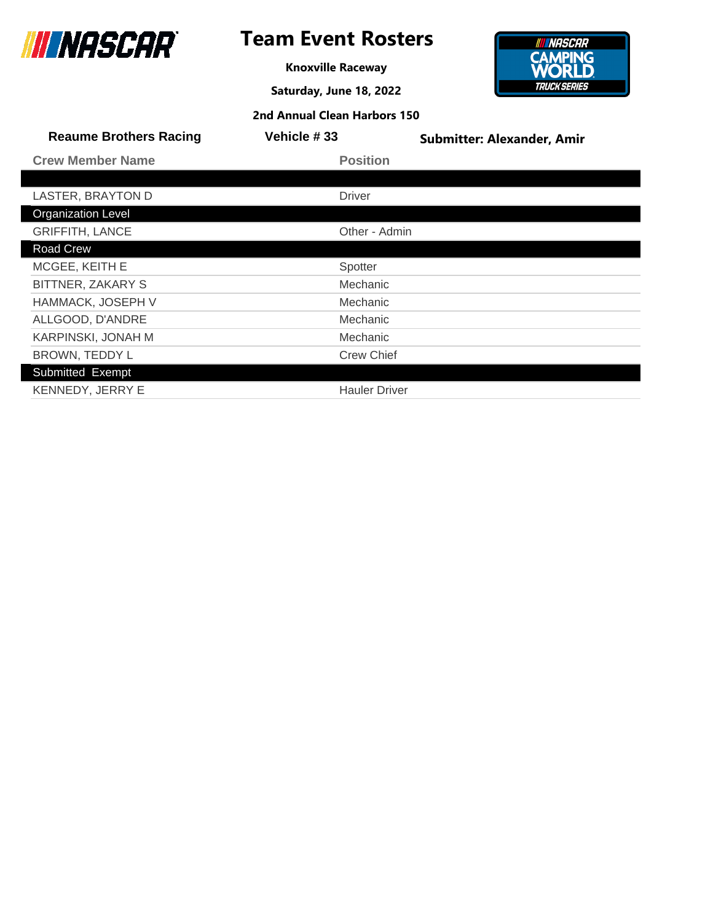

**Knoxville Raceway**

**Saturday, June 18, 2022**



| <b>Reaume Brothers Racing</b> | Vehicle #33          | <b>Submitter: Alexander, Amir</b> |
|-------------------------------|----------------------|-----------------------------------|
| <b>Crew Member Name</b>       | <b>Position</b>      |                                   |
|                               |                      |                                   |
| LASTER, BRAYTON D             | <b>Driver</b>        |                                   |
| <b>Organization Level</b>     |                      |                                   |
| <b>GRIFFITH, LANCE</b>        | Other - Admin        |                                   |
| Road Crew                     |                      |                                   |
| MCGEE, KEITH E                | Spotter              |                                   |
| BITTNER, ZAKARY S             | Mechanic             |                                   |
| HAMMACK, JOSEPH V             | Mechanic             |                                   |
| ALLGOOD, D'ANDRE              | Mechanic             |                                   |
| KARPINSKI, JONAH M            | Mechanic             |                                   |
| BROWN, TEDDY L                | <b>Crew Chief</b>    |                                   |
| Submitted Exempt              |                      |                                   |
| KENNEDY, JERRY E              | <b>Hauler Driver</b> |                                   |
|                               |                      |                                   |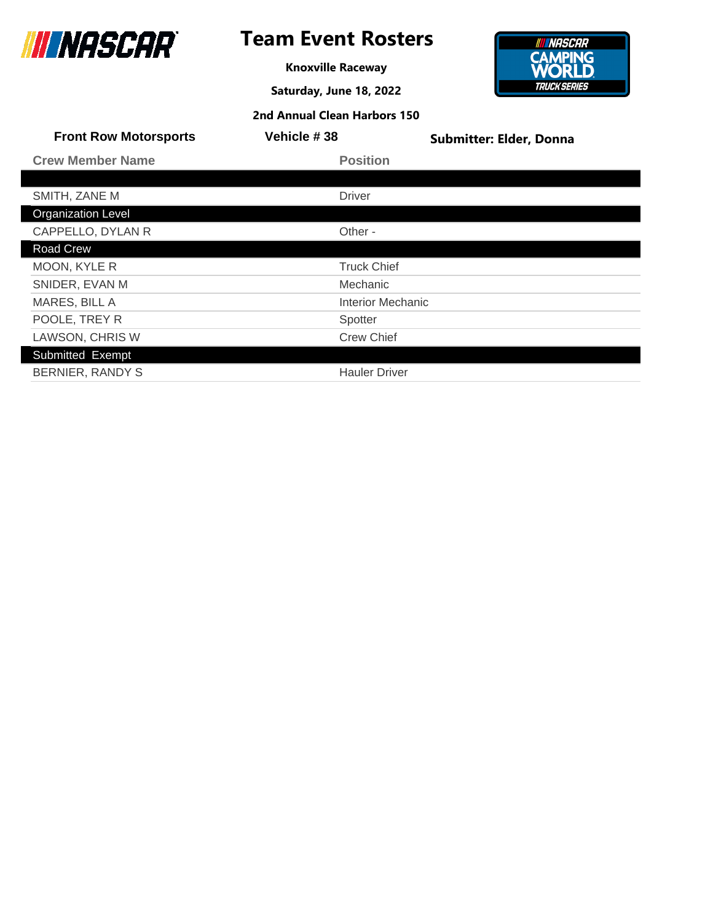

## **Team Event Rosters**

**Knoxville Raceway**

**Saturday, June 18, 2022**



| <b>Front Row Motorsports</b> | Vehicle #38              | <b>Submitter: Elder, Donna</b> |
|------------------------------|--------------------------|--------------------------------|
| <b>Crew Member Name</b>      | <b>Position</b>          |                                |
|                              |                          |                                |
| SMITH, ZANE M                | <b>Driver</b>            |                                |
| <b>Organization Level</b>    |                          |                                |
| CAPPELLO, DYLAN R            | Other -                  |                                |
| Road Crew                    |                          |                                |
| MOON, KYLE R                 | <b>Truck Chief</b>       |                                |
| SNIDER, EVAN M               | Mechanic                 |                                |
| MARES, BILL A                | <b>Interior Mechanic</b> |                                |
| POOLE, TREY R                | Spotter                  |                                |
| <b>LAWSON, CHRIS W</b>       | <b>Crew Chief</b>        |                                |
| Submitted Exempt             |                          |                                |
| <b>BERNIER, RANDY S</b>      | <b>Hauler Driver</b>     |                                |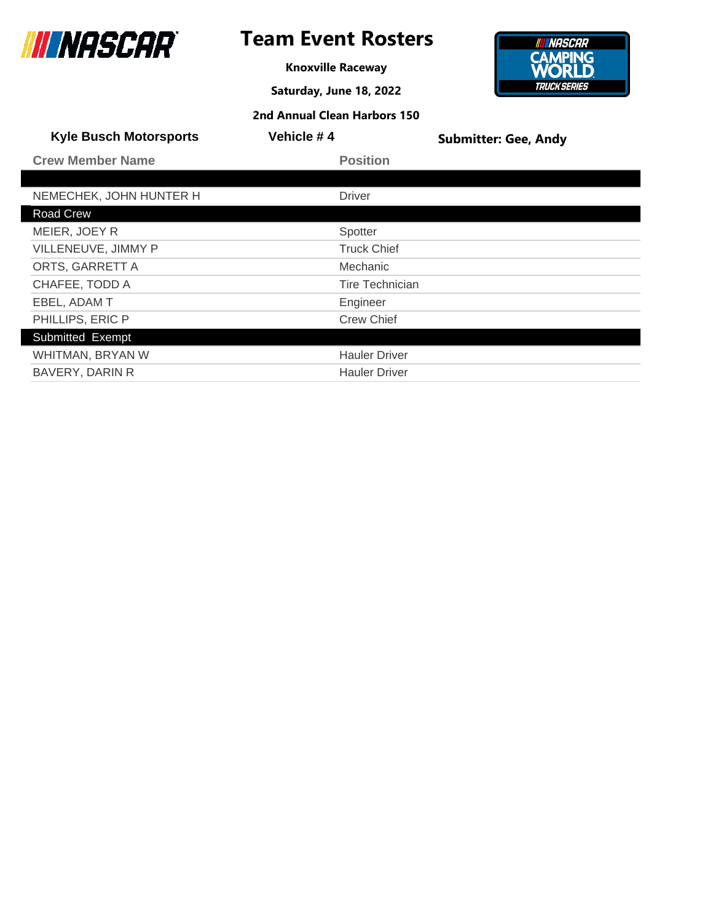

**Knoxville Raceway**

**Saturday, June 18, 2022**



| <b>Kyle Busch Motorsports</b> | Vehicle #4             | <b>Submitter: Gee, Andy</b> |
|-------------------------------|------------------------|-----------------------------|
| <b>Crew Member Name</b>       | <b>Position</b>        |                             |
|                               |                        |                             |
| NEMECHEK, JOHN HUNTER H       | <b>Driver</b>          |                             |
| <b>Road Crew</b>              |                        |                             |
| MEIER, JOEY R                 | Spotter                |                             |
| VILLENEUVE, JIMMY P           | <b>Truck Chief</b>     |                             |
| ORTS, GARRETT A               | <b>Mechanic</b>        |                             |
| CHAFEE, TODD A                | <b>Tire Technician</b> |                             |
| EBEL, ADAM T                  | Engineer               |                             |
| PHILLIPS, ERIC P              | <b>Crew Chief</b>      |                             |
| Submitted Exempt              |                        |                             |
| WHITMAN, BRYAN W              | <b>Hauler Driver</b>   |                             |
| <b>BAVERY, DARIN R</b>        | <b>Hauler Driver</b>   |                             |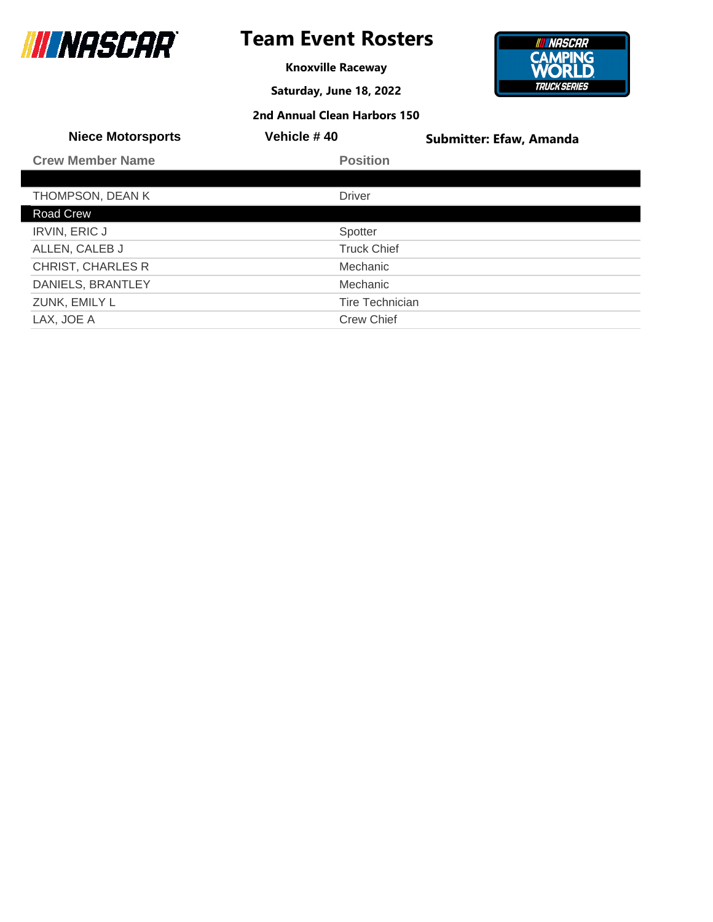

**Knoxville Raceway**

**Saturday, June 18, 2022**



| <b>Niece Motorsports</b> | Vehicle #40            | <b>Submitter: Efaw, Amanda</b> |
|--------------------------|------------------------|--------------------------------|
| <b>Crew Member Name</b>  | <b>Position</b>        |                                |
|                          |                        |                                |
| THOMPSON, DEAN K         | <b>Driver</b>          |                                |
| Road Crew                |                        |                                |
| <b>IRVIN, ERIC J</b>     | Spotter                |                                |
| ALLEN, CALEB J           | <b>Truck Chief</b>     |                                |
| <b>CHRIST, CHARLES R</b> | Mechanic               |                                |
| DANIELS, BRANTLEY        | Mechanic               |                                |
| ZUNK, EMILY L            | <b>Tire Technician</b> |                                |
| LAX, JOE A               | <b>Crew Chief</b>      |                                |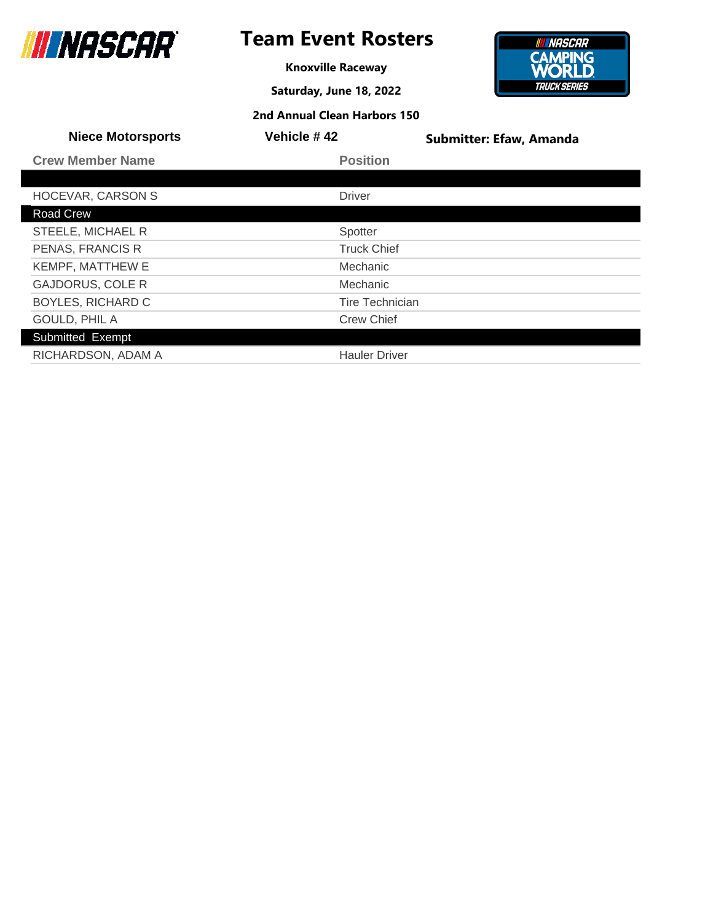

**Knoxville Raceway**

**Saturday, June 18, 2022**



| <b>Niece Motorsports</b> | Vehicle #42            | <b>Submitter: Efaw, Amanda</b> |
|--------------------------|------------------------|--------------------------------|
| <b>Crew Member Name</b>  | <b>Position</b>        |                                |
|                          |                        |                                |
| <b>HOCEVAR, CARSON S</b> | <b>Driver</b>          |                                |
| <b>Road Crew</b>         |                        |                                |
| STEELE, MICHAEL R        | Spotter                |                                |
| PENAS, FRANCIS R         | <b>Truck Chief</b>     |                                |
| <b>KEMPF, MATTHEW E</b>  | Mechanic               |                                |
| <b>GAJDORUS, COLE R</b>  | Mechanic               |                                |
| <b>BOYLES, RICHARD C</b> | <b>Tire Technician</b> |                                |
| GOULD, PHIL A            | <b>Crew Chief</b>      |                                |
| Submitted Exempt         |                        |                                |
| RICHARDSON, ADAM A       | <b>Hauler Driver</b>   |                                |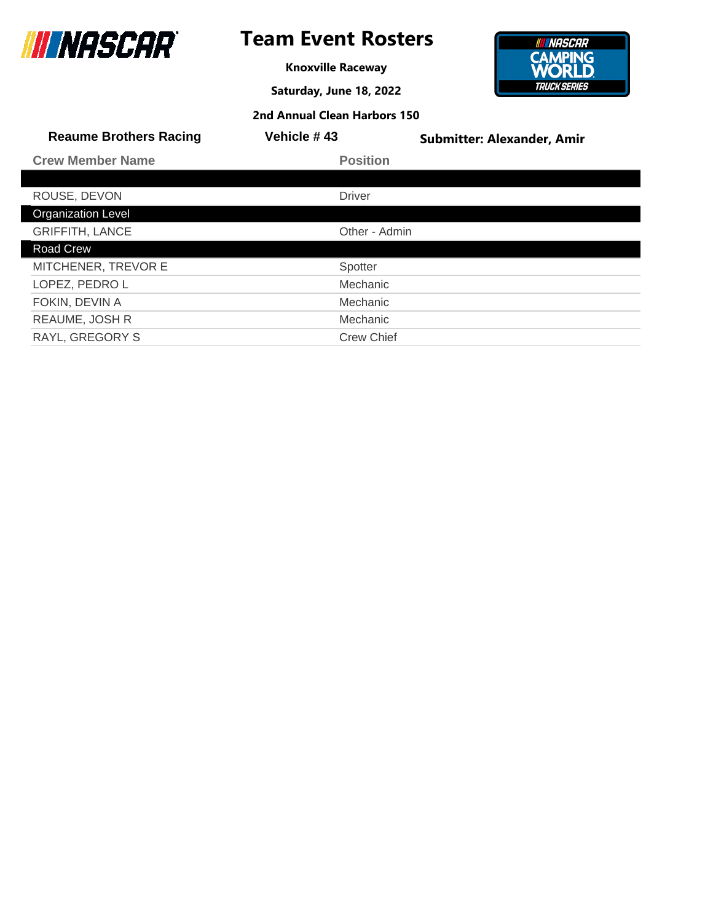

Γ

## **Team Event Rosters**

**Knoxville Raceway**

**Saturday, June 18, 2022**



| 2nd Annual Clean Harbors 150 |  |  |  |
|------------------------------|--|--|--|
|------------------------------|--|--|--|

| <b>Reaume Brothers Racing</b> | Vehicle #43       | <b>Submitter: Alexander, Amir</b> |
|-------------------------------|-------------------|-----------------------------------|
| <b>Crew Member Name</b>       | <b>Position</b>   |                                   |
|                               |                   |                                   |
| ROUSE, DEVON                  | <b>Driver</b>     |                                   |
| <b>Organization Level</b>     |                   |                                   |
| <b>GRIFFITH, LANCE</b>        | Other - Admin     |                                   |
| <b>Road Crew</b>              |                   |                                   |
| MITCHENER, TREVOR E           | Spotter           |                                   |
| LOPEZ, PEDRO L                | Mechanic          |                                   |
| FOKIN, DEVIN A                | Mechanic          |                                   |
| <b>REAUME, JOSH R</b>         | Mechanic          |                                   |
| <b>RAYL, GREGORY S</b>        | <b>Crew Chief</b> |                                   |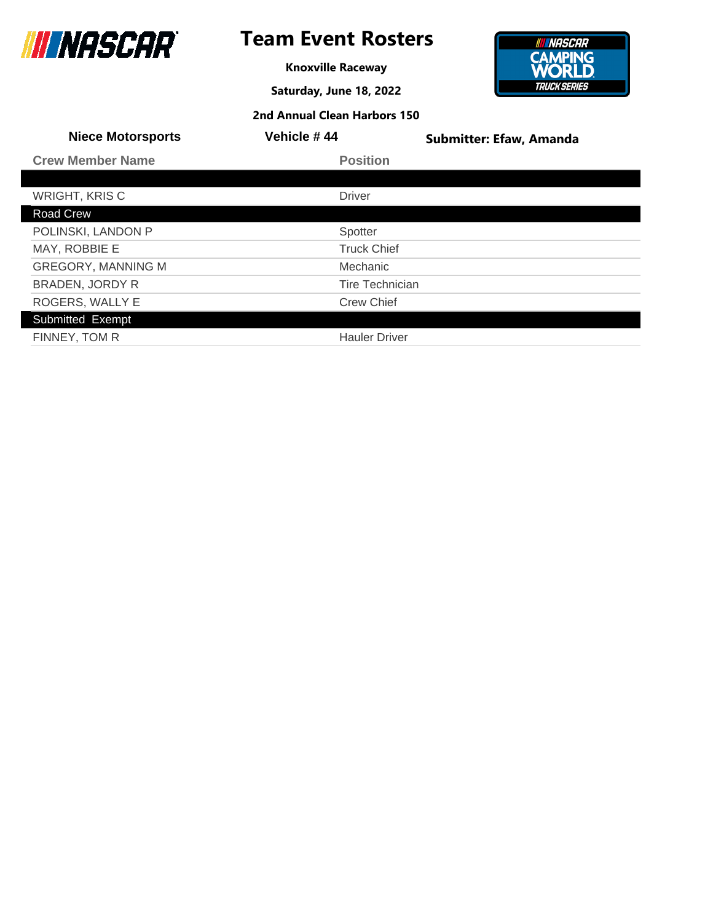

## **Team Event Rosters**

**Knoxville Raceway**

**Saturday, June 18, 2022**



| <b>Niece Motorsports</b>  | Vehicle #44            | <b>Submitter: Efaw, Amanda</b> |
|---------------------------|------------------------|--------------------------------|
| <b>Crew Member Name</b>   | <b>Position</b>        |                                |
|                           |                        |                                |
| <b>WRIGHT, KRISC</b>      | <b>Driver</b>          |                                |
| <b>Road Crew</b>          |                        |                                |
| POLINSKI, LANDON P        | Spotter                |                                |
| MAY, ROBBIE E             | <b>Truck Chief</b>     |                                |
| <b>GREGORY, MANNING M</b> | <b>Mechanic</b>        |                                |
| BRADEN, JORDY R           | <b>Tire Technician</b> |                                |
| ROGERS, WALLY E           | <b>Crew Chief</b>      |                                |
| Submitted Exempt          |                        |                                |
| FINNEY, TOM R             | <b>Hauler Driver</b>   |                                |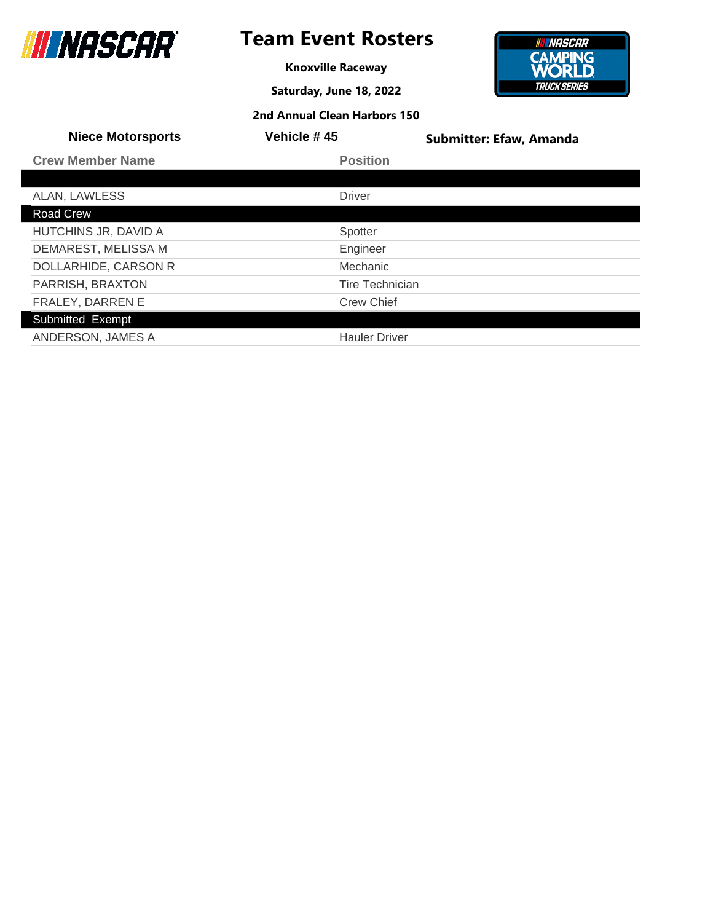

## **Team Event Rosters**

**Knoxville Raceway**

**Saturday, June 18, 2022**



| <b>Niece Motorsports</b> | Vehicle #45          | <b>Submitter: Efaw, Amanda</b> |
|--------------------------|----------------------|--------------------------------|
| <b>Crew Member Name</b>  | <b>Position</b>      |                                |
|                          |                      |                                |
| ALAN, LAWLESS            | <b>Driver</b>        |                                |
| Road Crew                |                      |                                |
| HUTCHINS JR, DAVID A     | Spotter              |                                |
| DEMAREST, MELISSA M      | Engineer             |                                |
| DOLLARHIDE, CARSON R     | Mechanic             |                                |
| PARRISH, BRAXTON         | Tire Technician      |                                |
| FRALEY, DARREN E         | <b>Crew Chief</b>    |                                |
| Submitted Exempt         |                      |                                |
| ANDERSON, JAMES A        | <b>Hauler Driver</b> |                                |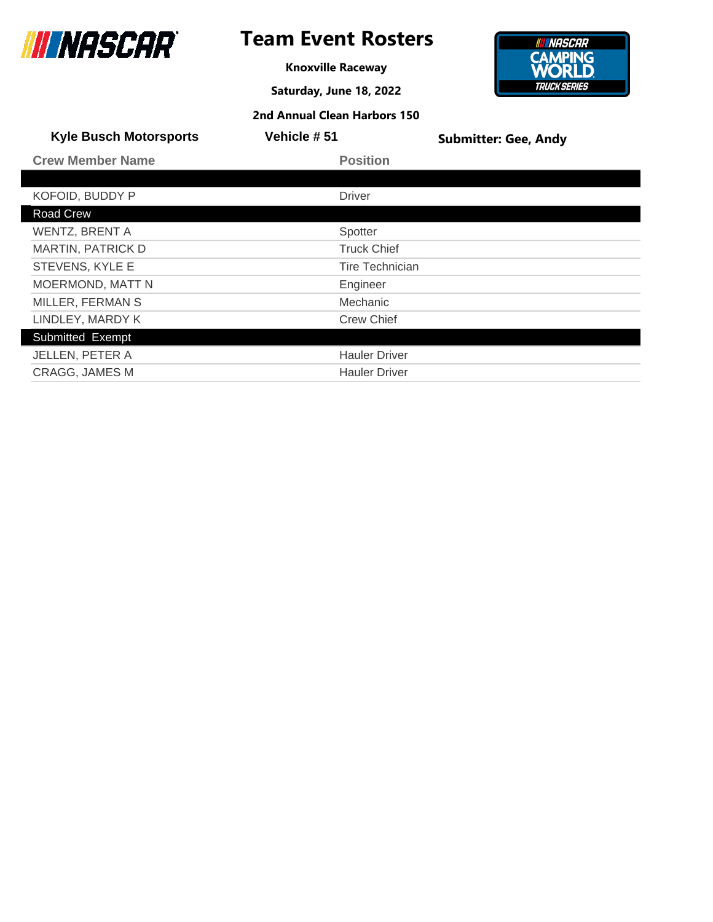

## **Team Event Rosters**

**Knoxville Raceway**

**Saturday, June 18, 2022**

**2nd Annual Clean Harbors 150**

#### **INNASCAR CAMPING**<br>**WORLD TRUCK SERIES**

| <b>Kyle Busch Motorsports</b> | Vehicle #51            | <b>Submitter: Gee, Andy</b> |
|-------------------------------|------------------------|-----------------------------|
| <b>Crew Member Name</b>       | <b>Position</b>        |                             |
|                               |                        |                             |
| KOFOID, BUDDY P               | <b>Driver</b>          |                             |
| Road Crew                     |                        |                             |
| <b>WENTZ, BRENT A</b>         | Spotter                |                             |
| <b>MARTIN, PATRICK D</b>      | <b>Truck Chief</b>     |                             |
| STEVENS, KYLE E               | <b>Tire Technician</b> |                             |
| <b>MOERMOND, MATT N</b>       | Engineer               |                             |
| MILLER, FERMAN S              | <b>Mechanic</b>        |                             |
| LINDLEY, MARDY K              | <b>Crew Chief</b>      |                             |
| Submitted Exempt              |                        |                             |
| <b>JELLEN, PETER A</b>        | <b>Hauler Driver</b>   |                             |
| <b>CRAGG, JAMES M</b>         | <b>Hauler Driver</b>   |                             |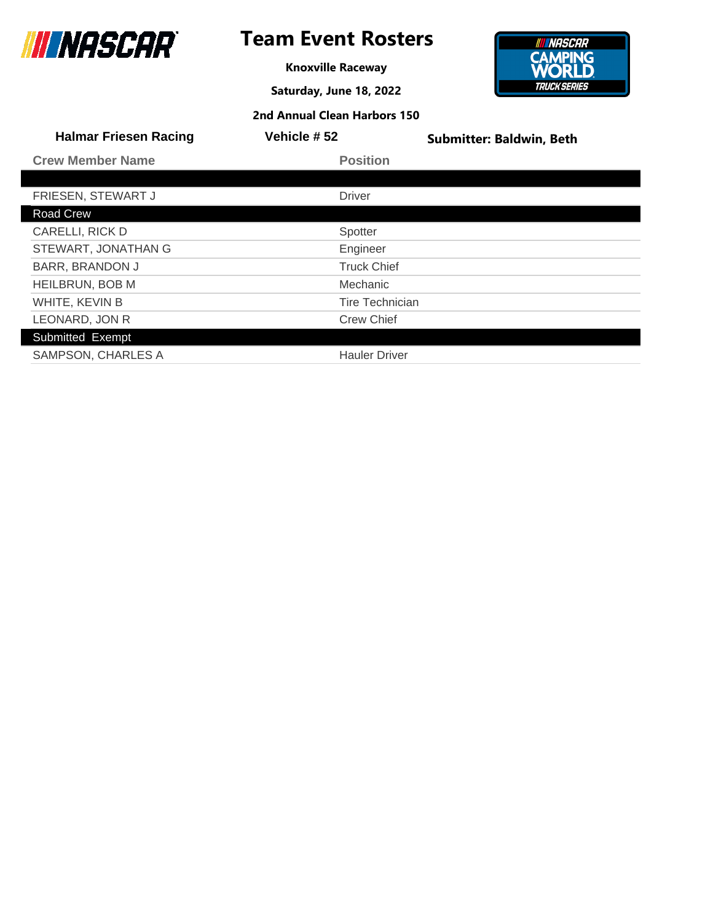

**Knoxville Raceway**

**Saturday, June 18, 2022**



| <b>Halmar Friesen Racing</b> | Vehicle #52            | <b>Submitter: Baldwin, Beth</b> |
|------------------------------|------------------------|---------------------------------|
| <b>Crew Member Name</b>      | <b>Position</b>        |                                 |
|                              |                        |                                 |
| FRIESEN, STEWART J           | <b>Driver</b>          |                                 |
| <b>Road Crew</b>             |                        |                                 |
| CARELLI, RICK D              | Spotter                |                                 |
| STEWART, JONATHAN G          | Engineer               |                                 |
| <b>BARR, BRANDON J</b>       | <b>Truck Chief</b>     |                                 |
| <b>HEILBRUN, BOB M</b>       | <b>Mechanic</b>        |                                 |
| WHITE, KEVIN B               | <b>Tire Technician</b> |                                 |
| LEONARD, JON R               | <b>Crew Chief</b>      |                                 |
| Submitted Exempt             |                        |                                 |
| SAMPSON, CHARLES A           | <b>Hauler Driver</b>   |                                 |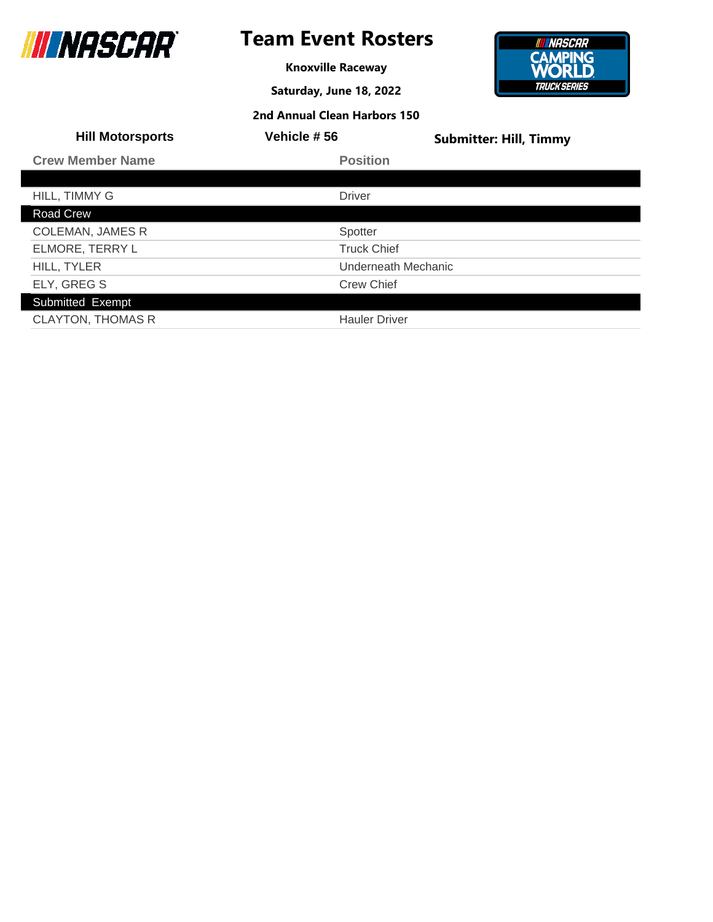

## **Team Event Rosters**

**Knoxville Raceway**

**Saturday, June 18, 2022**



| <b>Hill Motorsports</b>  | Vehicle #56          | <b>Submitter: Hill, Timmy</b> |
|--------------------------|----------------------|-------------------------------|
| <b>Crew Member Name</b>  | <b>Position</b>      |                               |
|                          |                      |                               |
| HILL, TIMMY G            | <b>Driver</b>        |                               |
| Road Crew                |                      |                               |
| <b>COLEMAN, JAMES R</b>  | Spotter              |                               |
| ELMORE, TERRY L          | <b>Truck Chief</b>   |                               |
| HILL, TYLER              | Underneath Mechanic  |                               |
| ELY, GREG S              | <b>Crew Chief</b>    |                               |
| Submitted Exempt         |                      |                               |
| <b>CLAYTON, THOMAS R</b> | <b>Hauler Driver</b> |                               |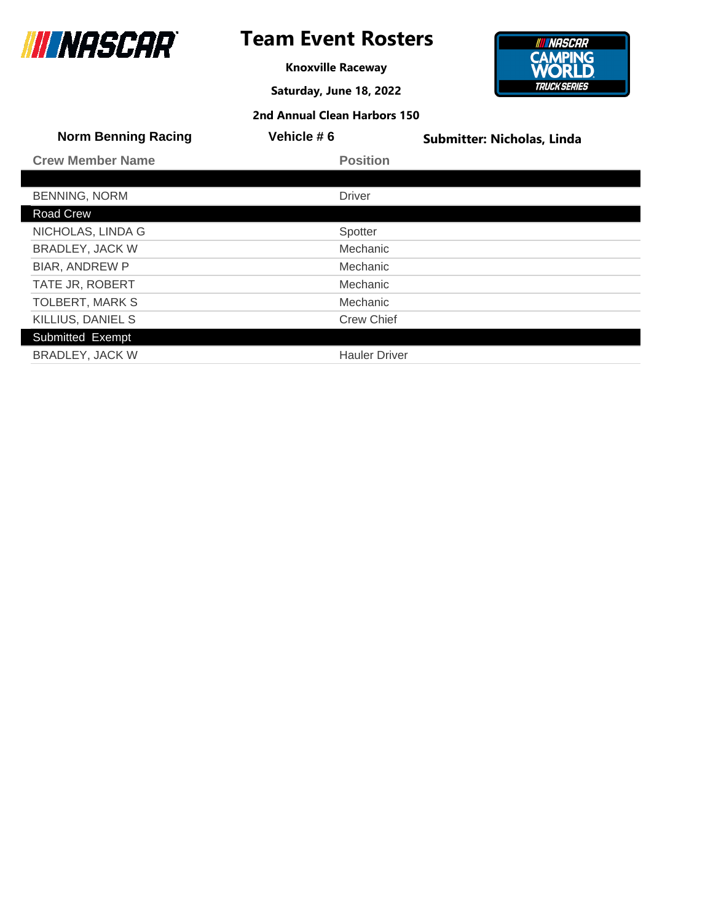

**Knoxville Raceway**

**Saturday, June 18, 2022**



| <b>Norm Benning Racing</b> | Vehicle #6           | <b>Submitter: Nicholas, Linda</b> |
|----------------------------|----------------------|-----------------------------------|
| <b>Crew Member Name</b>    | <b>Position</b>      |                                   |
|                            |                      |                                   |
| <b>BENNING, NORM</b>       | <b>Driver</b>        |                                   |
| <b>Road Crew</b>           |                      |                                   |
| NICHOLAS, LINDA G          | Spotter              |                                   |
| <b>BRADLEY, JACK W</b>     | Mechanic             |                                   |
| <b>BIAR, ANDREW P</b>      | <b>Mechanic</b>      |                                   |
| TATE JR, ROBERT            | <b>Mechanic</b>      |                                   |
| <b>TOLBERT, MARK S</b>     | <b>Mechanic</b>      |                                   |
| KILLIUS, DANIEL S          | <b>Crew Chief</b>    |                                   |
| Submitted Exempt           |                      |                                   |
| <b>BRADLEY, JACK W</b>     | <b>Hauler Driver</b> |                                   |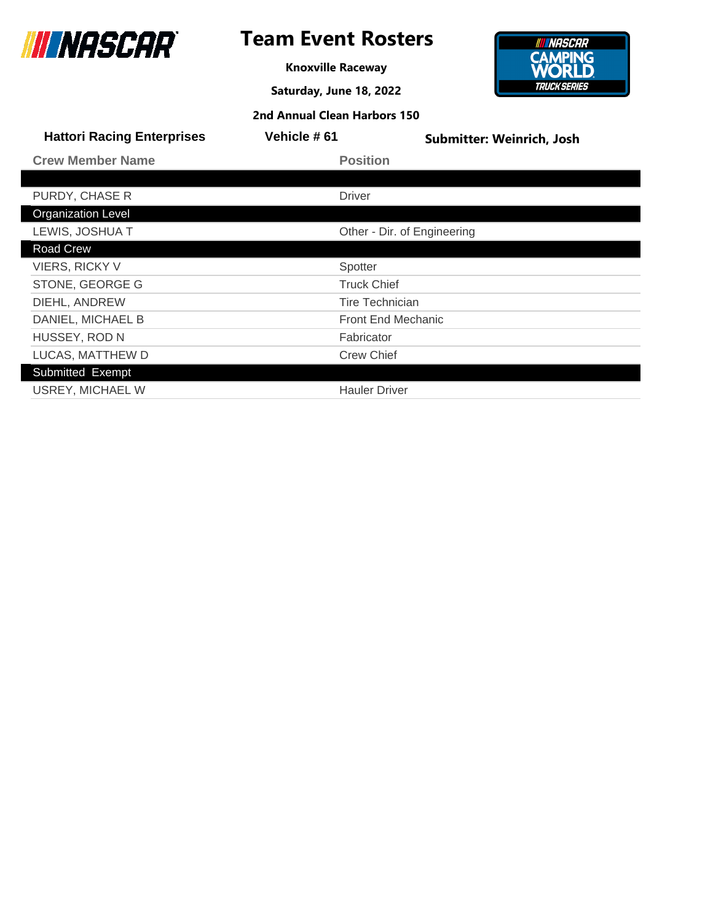

**Knoxville Raceway**

**Saturday, June 18, 2022**



| 2nd Annual Clean Harbors 150 |  |  |  |
|------------------------------|--|--|--|
|------------------------------|--|--|--|

| <b>Hattori Racing Enterprises</b> | Vehicle #61 | Submitter: Weinrich, Josh   |  |
|-----------------------------------|-------------|-----------------------------|--|
| <b>Crew Member Name</b>           |             | <b>Position</b>             |  |
|                                   |             |                             |  |
| PURDY, CHASE R                    |             | <b>Driver</b>               |  |
| <b>Organization Level</b>         |             |                             |  |
| LEWIS, JOSHUA T                   |             | Other - Dir. of Engineering |  |
| Road Crew                         |             |                             |  |
| <b>VIERS, RICKY V</b>             |             | Spotter                     |  |
| STONE, GEORGE G                   |             | <b>Truck Chief</b>          |  |
| DIEHL, ANDREW                     |             | Tire Technician             |  |
| DANIEL, MICHAEL B                 |             | <b>Front End Mechanic</b>   |  |
| HUSSEY, ROD N                     |             | Fabricator                  |  |
| LUCAS, MATTHEW D                  |             | <b>Crew Chief</b>           |  |
| Submitted Exempt                  |             |                             |  |
| <b>USREY, MICHAEL W</b>           |             | <b>Hauler Driver</b>        |  |
|                                   |             |                             |  |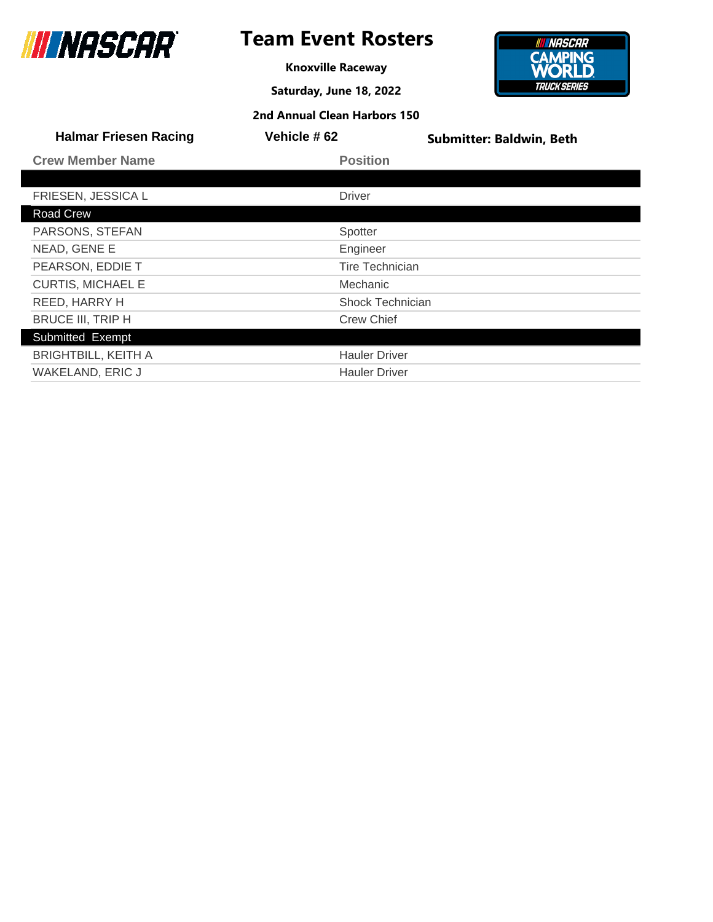

**Knoxville Raceway**

**Saturday, June 18, 2022**

**2nd Annual Clean Harbors 150**



| <b>Halmar Friesen Racing</b> | Vehicle #62            | <b>Submitter: Baldwin, Beth</b> |
|------------------------------|------------------------|---------------------------------|
| <b>Crew Member Name</b>      | <b>Position</b>        |                                 |
|                              |                        |                                 |
| FRIESEN, JESSICA L           | <b>Driver</b>          |                                 |
| <b>Road Crew</b>             |                        |                                 |
| PARSONS, STEFAN              | Spotter                |                                 |
| NEAD, GENE E                 | Engineer               |                                 |
| PEARSON, EDDIE T             | <b>Tire Technician</b> |                                 |
| <b>CURTIS, MICHAEL E</b>     | Mechanic               |                                 |
| REED, HARRY H                | Shock Technician       |                                 |
| <b>BRUCE III, TRIP H</b>     | <b>Crew Chief</b>      |                                 |
| Submitted Exempt             |                        |                                 |

Submitted Exempt BRIGHTBILL, KEITH A **Hauler Driver** Hauler Driver WAKELAND, ERIC J Hauler Driver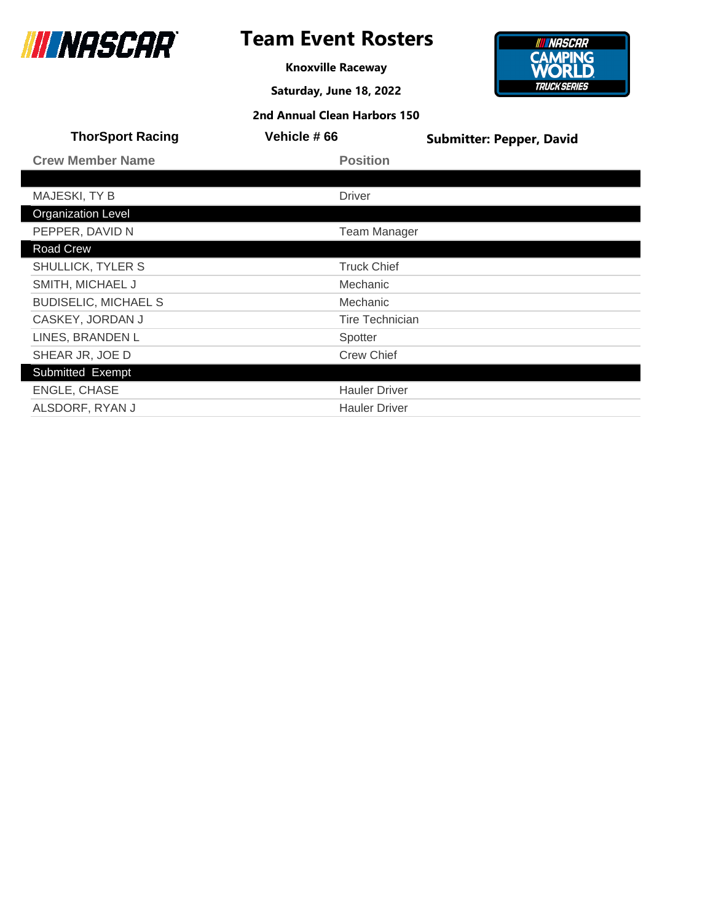

## **Team Event Rosters**

**Knoxville Raceway**

**Saturday, June 18, 2022**



| <b>ThorSport Racing</b>     | Vehicle #66            | <b>Submitter: Pepper, David</b> |
|-----------------------------|------------------------|---------------------------------|
| <b>Crew Member Name</b>     | <b>Position</b>        |                                 |
|                             |                        |                                 |
| MAJESKI, TY B               | <b>Driver</b>          |                                 |
| <b>Organization Level</b>   |                        |                                 |
| PEPPER, DAVID N             | <b>Team Manager</b>    |                                 |
| Road Crew                   |                        |                                 |
| SHULLICK, TYLER S           | <b>Truck Chief</b>     |                                 |
| SMITH, MICHAEL J            | Mechanic               |                                 |
| <b>BUDISELIC, MICHAEL S</b> | Mechanic               |                                 |
| CASKEY, JORDAN J            | <b>Tire Technician</b> |                                 |
| LINES, BRANDEN L            | Spotter                |                                 |
| SHEAR JR, JOE D             | <b>Crew Chief</b>      |                                 |
| Submitted Exempt            |                        |                                 |
| ENGLE, CHASE                | <b>Hauler Driver</b>   |                                 |
| ALSDORF, RYAN J             | <b>Hauler Driver</b>   |                                 |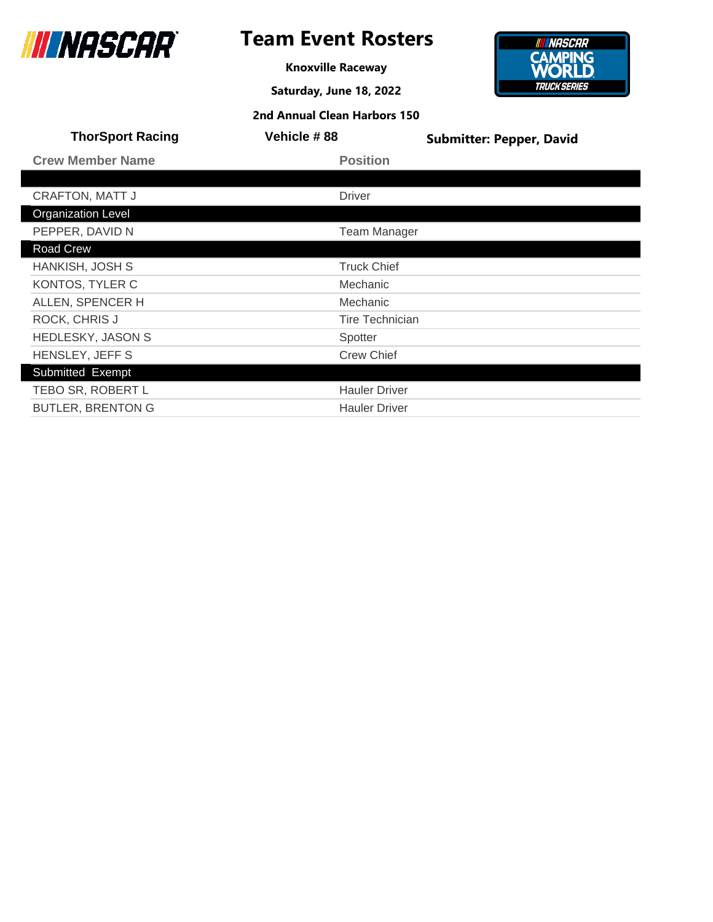

**Knoxville Raceway**

**Saturday, June 18, 2022**



|                         | 2nd Annual Clean Harbors 150 |                                 |
|-------------------------|------------------------------|---------------------------------|
| <b>ThorSport Racing</b> | Vehicle #88                  | <b>Submitter: Pepper, David</b> |
| <b>Crew Member Name</b> | <b>Position</b>              |                                 |

| <b>CRAFTON, MATT J</b>    | <b>Driver</b>          |
|---------------------------|------------------------|
| <b>Organization Level</b> |                        |
| PEPPER, DAVID N           | <b>Team Manager</b>    |
| Road Crew                 |                        |
| HANKISH, JOSH S           | <b>Truck Chief</b>     |
| KONTOS, TYLER C           | Mechanic               |
| ALLEN, SPENCER H          | Mechanic               |
| ROCK, CHRIS J             | <b>Tire Technician</b> |
| <b>HEDLESKY, JASON S</b>  | Spotter                |
| HENSLEY, JEFF S           | <b>Crew Chief</b>      |
| Submitted Exempt          |                        |
| TEBO SR, ROBERT L         | <b>Hauler Driver</b>   |
| <b>BUTLER, BRENTON G</b>  | <b>Hauler Driver</b>   |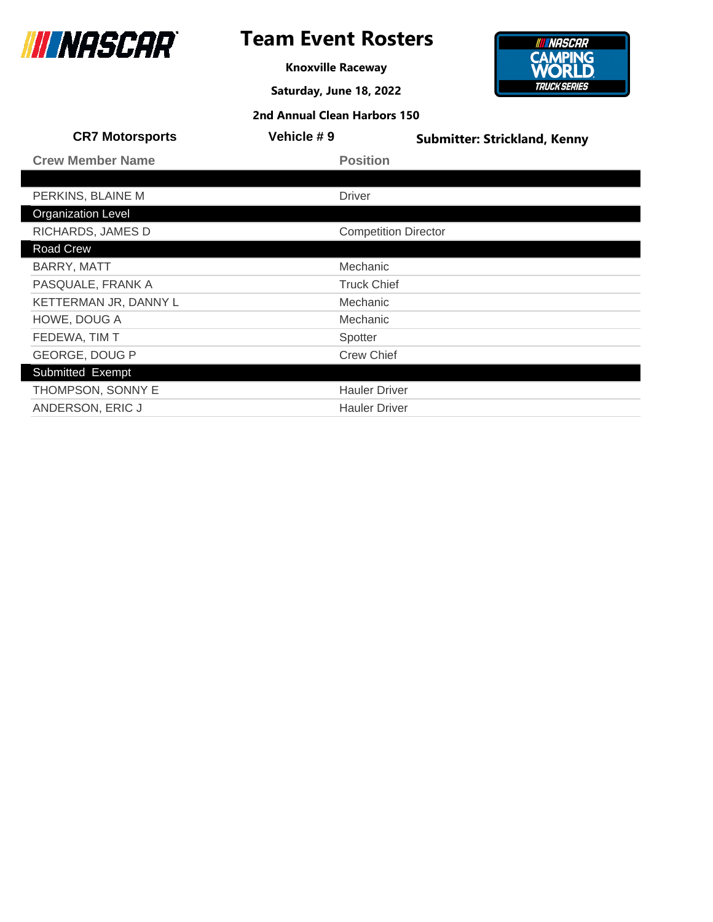

## **Team Event Rosters**

**Knoxville Raceway**

**Saturday, June 18, 2022**

**2nd Annual Clean Harbors 150**

#### **INNASCAR CAMPING**<br>**WORLD TRUCK SERIES**

| <b>CR7 Motorsports</b>    | Vehicle # 9                 | <b>Submitter: Strickland, Kenny</b> |
|---------------------------|-----------------------------|-------------------------------------|
| <b>Crew Member Name</b>   | <b>Position</b>             |                                     |
|                           |                             |                                     |
| PERKINS, BLAINE M         | <b>Driver</b>               |                                     |
| <b>Organization Level</b> |                             |                                     |
| RICHARDS, JAMES D         | <b>Competition Director</b> |                                     |
| Road Crew                 |                             |                                     |
| BARRY, MATT               | Mechanic                    |                                     |
| PASQUALE, FRANK A         | <b>Truck Chief</b>          |                                     |
| KETTERMAN JR, DANNY L     | Mechanic                    |                                     |
| HOWE, DOUG A              | Mechanic                    |                                     |
| FEDEWA, TIM T             | Spotter                     |                                     |
| <b>GEORGE, DOUG P</b>     | <b>Crew Chief</b>           |                                     |
| Submitted Exempt          |                             |                                     |
| THOMPSON, SONNY E         | <b>Hauler Driver</b>        |                                     |

ANDERSON, ERIC J Hauler Driver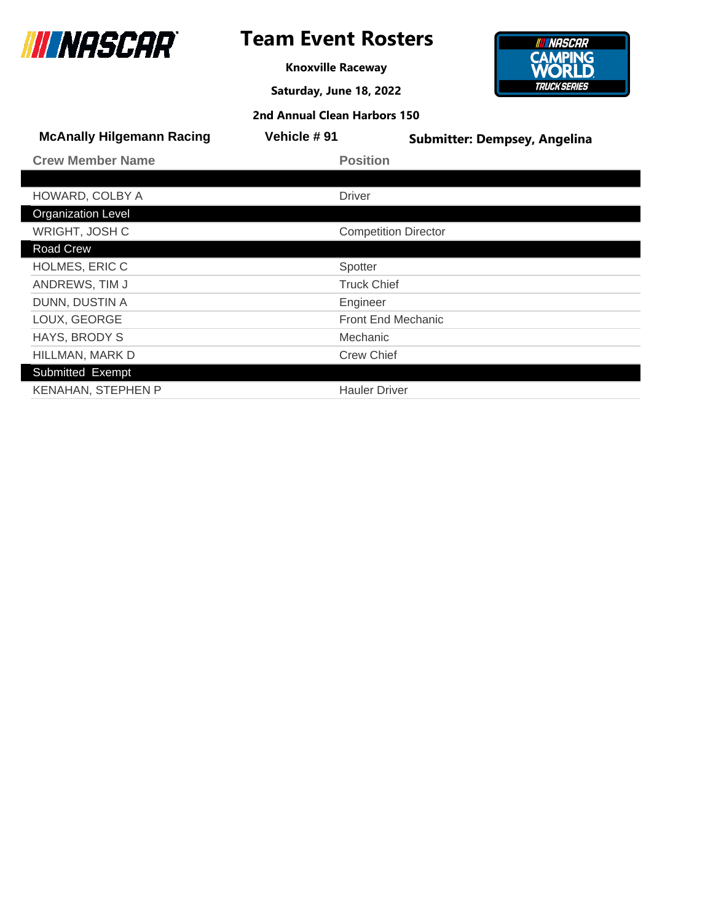

**Knoxville Raceway**

**Saturday, June 18, 2022**



| 2nd Annual Clean Harbors 150     |                      |                                     |
|----------------------------------|----------------------|-------------------------------------|
| <b>McAnally Hilgemann Racing</b> | <b>Vehicle #91</b>   | <b>Submitter: Dempsey, Angelina</b> |
| <b>Crew Member Name</b>          | <b>Position</b>      |                                     |
|                                  |                      |                                     |
| HOWARD, COLBY A                  | <b>Driver</b>        |                                     |
| <b>Organization Level</b>        |                      |                                     |
| WRIGHT, JOSH C                   |                      | <b>Competition Director</b>         |
| Road Crew                        |                      |                                     |
| <b>HOLMES, ERIC C</b>            | Spotter              |                                     |
| ANDREWS, TIM J                   | <b>Truck Chief</b>   |                                     |
| DUNN, DUSTIN A                   | Engineer             |                                     |
| LOUX, GEORGE                     |                      | <b>Front End Mechanic</b>           |
| HAYS, BRODY S                    | Mechanic             |                                     |
| HILLMAN, MARK D                  | <b>Crew Chief</b>    |                                     |
| Submitted Exempt                 |                      |                                     |
| <b>KENAHAN, STEPHEN P</b>        | <b>Hauler Driver</b> |                                     |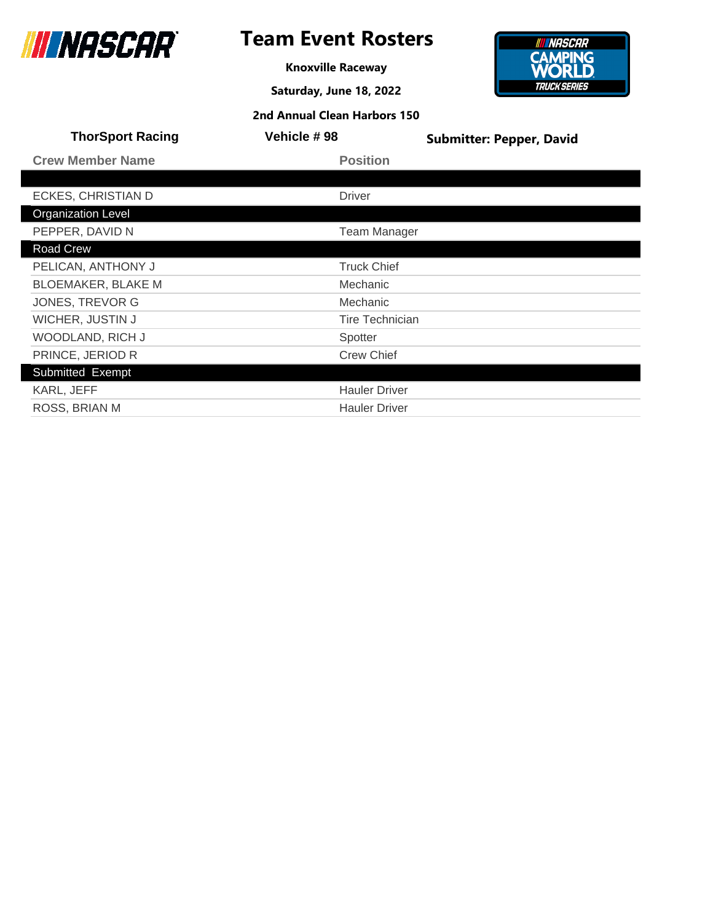

**Knoxville Raceway**

**Saturday, June 18, 2022**



| <b>ThorSport Racing</b>   | <b>Vehicle #98</b>     | <b>Submitter: Pepper, David</b> |
|---------------------------|------------------------|---------------------------------|
| <b>Crew Member Name</b>   | <b>Position</b>        |                                 |
|                           |                        |                                 |
| ECKES, CHRISTIAN D        | <b>Driver</b>          |                                 |
| <b>Organization Level</b> |                        |                                 |
| PEPPER, DAVID N           | <b>Team Manager</b>    |                                 |
| Road Crew                 |                        |                                 |
| PELICAN, ANTHONY J        | <b>Truck Chief</b>     |                                 |
| <b>BLOEMAKER, BLAKE M</b> | Mechanic               |                                 |
| <b>JONES, TREVOR G</b>    | Mechanic               |                                 |
| WICHER, JUSTIN J          | <b>Tire Technician</b> |                                 |
| WOODLAND, RICH J          | Spotter                |                                 |
| PRINCE, JERIOD R          | <b>Crew Chief</b>      |                                 |
| Submitted Exempt          |                        |                                 |
| KARL, JEFF                | <b>Hauler Driver</b>   |                                 |
| ROSS, BRIAN M             | <b>Hauler Driver</b>   |                                 |
|                           |                        |                                 |